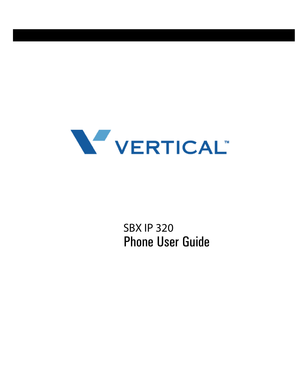

# Phone User Guide SBX IP 320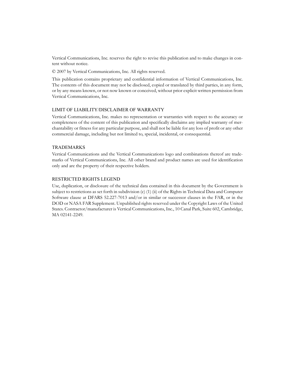Vertical Communications, Inc. reserves the right to revise this publication and to make changes in content without notice.

© 2007 by Vertical Communications, Inc. All rights reserved.

This publication contains proprietary and confidential information of Vertical Communications, Inc. The contents of this document may not be disclosed, copied or translated by third parties, in any form, or by any means known, or not now known or conceived, without prior explicit written permission from Vertical Communications, Inc.

#### LIMIT OF LIABILITY/DISCLAIMER OF WARRANTY

Vertical Communications, Inc. makes no representation or warranties with respect to the accuracy or completeness of the content of this publication and specifically disclaims any implied warranty of merchantability or fitness for any particular purpose, and shall not be liable for any loss of profit or any other commercial damage, including but not limited to, special, incidental, or consequential.

#### TRADEMARKS

Vertical Communications and the Vertical Communications logo and combinations thereof are trademarks of Vertical Communications, Inc. All other brand and product names are used for identification only and are the property of their respective holders.

#### RESTRICTED RIGHTS LEGEND

Use, duplication, or disclosure of the technical data contained in this document by the Government is subject to restrictions as set forth in subdivision (c) (1) (ii) of the Rights in Technical Data and Computer Software clause at DFARS 52.227-7013 and/or in similar or successor clauses in the FAR, or in the DOD or NASA FAR Supplement. Unpublished rights reserved under the Copyright Laws of the United States. Contractor/manufacturer is Vertical Communications, Inc., 10 Canal Park, Suite 602, Cambridge, MA 02141-2249.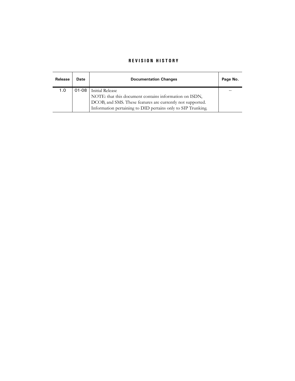#### **REVISION HISTORY**

| Release | Date  | <b>Documentation Changes</b>                                                                                                                                                                            | Page No. |
|---------|-------|---------------------------------------------------------------------------------------------------------------------------------------------------------------------------------------------------------|----------|
| 1.0     | 01-08 | Initial Release<br>NOTE: that this document contains information on ISDN,<br>DCOB, and SMS. These features are currently not supported.<br>Information pertaining to DID pertains only to SIP Trunking. |          |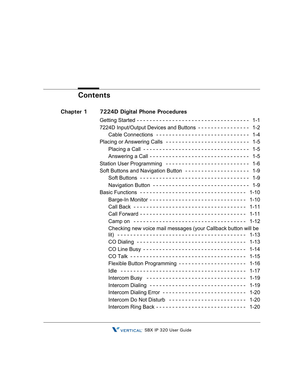## **Contents**

| <b>Chapter 1</b> | <b>7224D Digital Phone Procedures</b>                          |          |
|------------------|----------------------------------------------------------------|----------|
|                  |                                                                |          |
|                  | 7224D Input/Output Devices and Buttons ---------------- 1-2    |          |
|                  | Cable Connections ----------------------------- 1-4            |          |
|                  | Placing or Answering Calls -------------------------- 1-5      |          |
|                  |                                                                |          |
|                  | Answering a Call ------------------------------- 1-5           |          |
|                  | Station User Programming -------------------------- 1-6        |          |
|                  | Soft Buttons and Navigation Button -------------------- 1-9    |          |
|                  | Soft Buttons ----------------------------------- 1-9           |          |
|                  | Navigation Button ----------------------------- 1-9            |          |
|                  | Basic Functions --------------------------------- 1-10         |          |
|                  | Barge-In Monitor ------------------------------ 1-10           |          |
|                  |                                                                | $1 - 11$ |
|                  |                                                                | $1 - 11$ |
|                  |                                                                | $1 - 12$ |
|                  | Checking new voice mail messages (your Callback button will be |          |
|                  |                                                                | $1 - 13$ |
|                  | CO Dialing ----------------------------------- 1-13            |          |
|                  | CO Line Busy ---------------------------------                 | $1 - 14$ |
|                  |                                                                |          |
|                  | Flexible Button Programming ---------------------              | $1 - 16$ |
|                  |                                                                | $1 - 17$ |
|                  | Intercom Busy ------------------------------- 1-19             |          |
|                  | Intercom Dialing -------------------------------               | $1 - 19$ |
|                  | Intercom Dialing Error ---------------------------             | $1 - 20$ |
|                  | Intercom Do Not Disturb -------------------------              | $1 - 20$ |
|                  | Intercom Ring Back ---------------------------- 1-20           |          |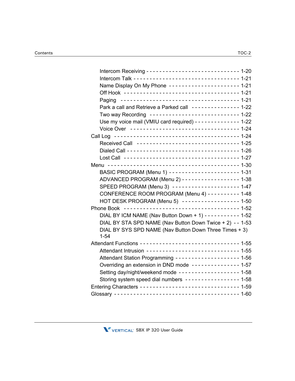| Intercom Receiving ------------------------------ 1-20                |
|-----------------------------------------------------------------------|
| Intercom Talk ---------------------------------- 1-21                 |
| Name Display On My Phone --------------------- 1-21                   |
|                                                                       |
|                                                                       |
| Park a call and Retrieve a Parked call --------------- 1-22           |
| Two way Recording ---------------------------- 1-22                   |
| Use my voice mail (VMIU card required) - - - - - - - - - - - - - 1-22 |
| Voice Over ----------------------------------- 1-24                   |
|                                                                       |
| Received Call --------------------------------- 1-25                  |
|                                                                       |
|                                                                       |
|                                                                       |
| BASIC PROGRAM (Menu 1) --------------------- 1-31                     |
| ADVANCED PROGRAM (Menu 2) - - - - - - - - - - - - - - - - - 1-38      |
| SPEED PROGRAM (Menu 3) -------------------- 1-47                      |
| CONFERENCE ROOM PROGRAM (Menu 4) ---------- 1-48                      |
| HOT DESK PROGRAM (Menu 5) ----------------- 1-50                      |
|                                                                       |
| DIAL BY ICM NAME (Nav Button Down + 1) ---------- 1-52                |
| DIAL BY STA SPD NAME (Nav Button Down Twice + 2) - - 1-53             |
| DIAL BY SYS SPD NAME (Nav Button Down Three Times + 3)                |
| $1 - 54$                                                              |
|                                                                       |
| Attendant Intrusion ----------------------------- 1-55                |
| Attendant Station Programming -------------------- 1-56               |
| Overriding an extension in DND mode --------------- 1-57              |
| Setting day/night/weekend mode ------------------- 1-58               |
| Storing system speed dial numbers ----------------- 1-58              |
| Entering Characters ------------------------------- 1-59              |
|                                                                       |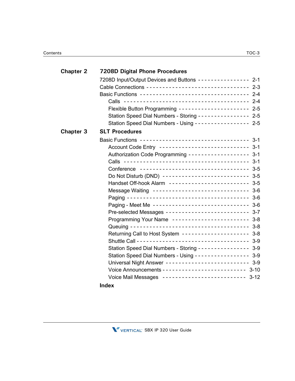| <b>Chapter 2</b> | <b>7208D Digital Phone Procedures</b>                                  |
|------------------|------------------------------------------------------------------------|
|                  | 7208D Input/Output Devices and Buttons --------------- 2-1             |
|                  | Cable Connections -------------------------------- 2-3                 |
|                  | Basic Functions ---------------------------------- 2-4                 |
|                  |                                                                        |
|                  | Flexible Button Programming --------------------- 2-5                  |
|                  | Station Speed Dial Numbers - Storing - - - - - - - - - - - - - - - 2-5 |
|                  | Station Speed Dial Numbers - Using ---------------- 2-5                |
| <b>Chapter 3</b> | <b>SLT Procedures</b>                                                  |
|                  | Basic Functions ----------------------------------- 3-1                |
|                  | Account Code Entry --------------------------- 3-1                     |
|                  | Authorization Code Programming ------------------ 3-1                  |
|                  |                                                                        |
|                  | Conference ---------------------------------- 3-5                      |
|                  | Do Not Disturb (DND) -------------------------- 3-5                    |
|                  | Handset Off-hook Alarm ------------------------ 3-5                    |
|                  | Message Waiting ----------------------------- 3-6                      |
|                  |                                                                        |
|                  |                                                                        |
|                  | Pre-selected Messages ------------------------- 3-7                    |
|                  | Programming Your Name ----------------------- 3-8                      |
|                  |                                                                        |
|                  | Returning Call to Host System -------------------- 3-8                 |
|                  |                                                                        |
|                  | Station Speed Dial Numbers - Storing --------------- 3-9               |
|                  | Station Speed Dial Numbers - Using ---------------- 3-9                |
|                  | Universal Night Answer ------------------------- 3-9                   |
|                  |                                                                        |
|                  | Voice Mail Messages ------------------------- 3-12                     |
|                  | <b>Index</b>                                                           |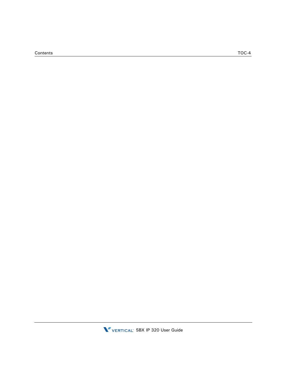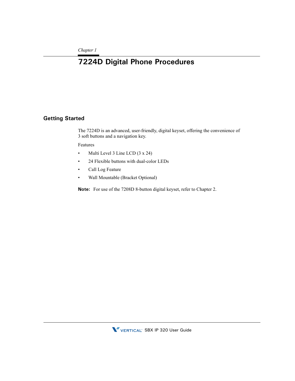### <span id="page-8-0"></span>**7224D Digital Phone Procedures**

#### <span id="page-8-1"></span>**Getting Started**

The 7224D is an advanced, user-friendly, digital keyset, offering the convenience of 3 soft buttons and a navigation key.

Features

- Multi Level 3 Line LCD (3 x 24)
- 24 Flexible buttons with dual-color LEDs
- Call Log Feature
- Wall Mountable (Bracket Optional)

**Note:** For use of the 7208D 8-button digital keyset, refer to [Chapter 2](#page-68-2).

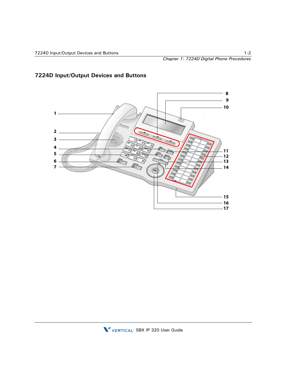

### <span id="page-9-0"></span>**7224D Input/Output Devices and Buttons**

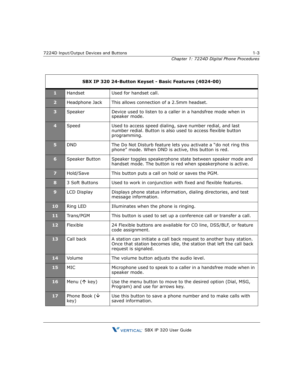Ē

| SBX IP 320 24-Button Keyset - Basic Features (4024-00) |                             |                                                                                                                                                                    |
|--------------------------------------------------------|-----------------------------|--------------------------------------------------------------------------------------------------------------------------------------------------------------------|
| $\mathbf{1}$                                           | Handset                     | Used for handset call.                                                                                                                                             |
| $\overline{2}$                                         | Headphone Jack              | This allows connection of a 2.5mm headset.                                                                                                                         |
| 3                                                      | Speaker                     | Device used to listen to a caller in a handsfree mode when in<br>speaker mode.                                                                                     |
| 4                                                      | Speed                       | Used to access speed dialing, save number redial, and last<br>number redial. Button is also used to access flexible button<br>programming.                         |
| 5                                                      | <b>DND</b>                  | The Do Not Disturb feature lets you activate a "do not ring this<br>phone" mode. When DND is active, this button is red.                                           |
| $6\phantom{1}$                                         | Speaker Button              | Speaker toggles speakerphone state between speaker mode and<br>handset mode. The button is red when speakerphone is active.                                        |
| $\overline{7}$                                         | Hold/Save                   | This button puts a call on hold or saves the PGM.                                                                                                                  |
| 8                                                      | 3 Soft Buttons              | Used to work in conjunction with fixed and flexible features.                                                                                                      |
| 9                                                      | <b>LCD Display</b>          | Displays phone status information, dialing directories, and test<br>message information.                                                                           |
| 10                                                     | Ring LED                    | Illuminates when the phone is ringing.                                                                                                                             |
| 11                                                     | Trans/PGM                   | This button is used to set up a conference call or transfer a call.                                                                                                |
| 12                                                     | Flexible                    | 24 Flexible buttons are available for CO line, DSS/BLF, or feature<br>code assignment.                                                                             |
| 13                                                     | Call back                   | A station can initiate a call back request to another busy station.<br>Once that station becomes idle, the station that left the call back<br>request is signaled. |
| 14                                                     | Volume                      | The volume button adjusts the audio level.                                                                                                                         |
| 15                                                     | MIC                         | Microphone used to speak to a caller in a handsfree mode when in<br>speaker mode.                                                                                  |
| 16                                                     | Menu (个 key)                | Use the menu button to move to the desired option (Dial, MSG,<br>Program) and use for arrows key.                                                                  |
| 17                                                     | Phone Book ( $\psi$<br>key) | Use this button to save a phone number and to make calls with<br>saved information.                                                                                |

٦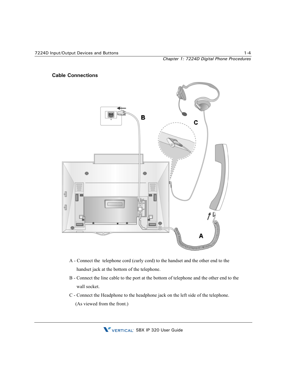#### <span id="page-11-0"></span>**Cable Connections**



- handset jack at the bottom of the telephone.
- B Connect the line cable to the port at the bottom of telephone and the other end to the wall socket.
- C Connect the Headphone to the headphone jack on the left side of the telephone. (As viewed from the front.)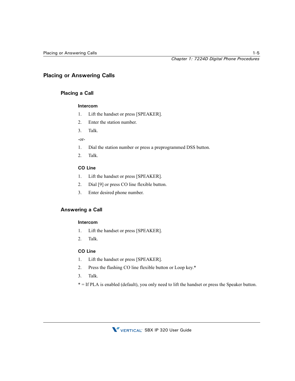#### <span id="page-12-1"></span><span id="page-12-0"></span>**Placing or Answering Calls**

#### **Placing a Call**

#### **Intercom**

- 1. Lift the handset or press [SPEAKER].
- 2. Enter the station number.
- 3. Talk.

-or-

- 1. Dial the station number or press a preprogrammed DSS button.
- 2. Talk.

#### **CO Line**

- 1. Lift the handset or press [SPEAKER].
- 2. Dial [9] or press CO line flexible button.
- 3. Enter desired phone number.

#### <span id="page-12-2"></span>**Answering a Call**

#### **Intercom**

- 1. Lift the handset or press [SPEAKER].
- 2. Talk.

#### **CO Line**

- 1. Lift the handset or press [SPEAKER].
- 2. Press the flashing CO line flexible button or Loop key.\*
- 3. Talk.
- \* = If PLA is enabled (default), you only need to lift the handset or press the Speaker button.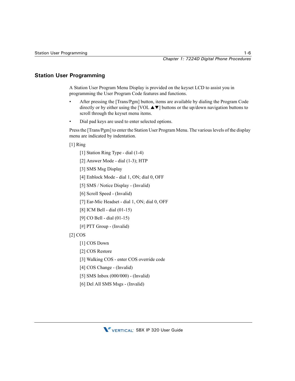#### <span id="page-13-0"></span>**Station User Programming**

A Station User Program Menu Display is provided on the keyset LCD to assist you in programming the User Program Code features and functions.

- After pressing the [Trans/Pgm] button, items are available by dialing the Program Code directly or by either using the [VOL  $\blacktriangle$   $\blacktriangledown$ ] buttons or the up/down navigation buttons to scroll through the keyset menu items.
- Dial pad keys are used to enter selected options.

Press the [Trans/Pgm] to enter the Station User Program Menu. The various levels of the display menu are indicated by indentation.

[1] Ring

- [1] Station Ring Type dial (1-4)
- [2] Answer Mode dial (1-3); HTP
- [3] SMS Msg Display
- [4] Enblock Mode dial 1, ON; dial 0, OFF
- [5] SMS / Notice Display (Invalid)
- [6] Scroll Speed (Invalid)
- [7] Ear-Mic Headset dial 1, ON; dial 0, OFF
- [8] ICM Bell dial (01-15)
- [9] CO Bell dial (01-15)
- [#] PTT Group (Invalid)

[2] COS

- [1] COS Down
- [2] COS Restore
- [3] Walking COS enter COS override code
- [4] COS Change (Invalid)
- [5] SMS Inbox (000/000) (Invalid)
- [6] Del All SMS Msgs (Invalid)

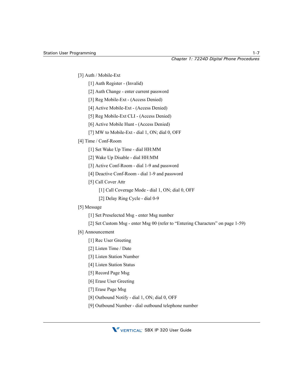[3] Auth / Mobile-Ext

[1] Auth Register - (Invalid)

[2] Auth Change - enter current password

[3] Reg Mobile-Ext - (Access Denied)

[4] Active Mobile-Ext - (Access Denied)

[5] Reg Mobile-Ext CLI - (Access Denied)

[6] Active Mobile Hunt - (Access Denied)

[7] MW to Mobile-Ext - dial 1, ON; dial 0, OFF

[4] Time / Conf-Room

[1] Set Wake Up Time - dial HH:MM

[2] Wake Up Disable - dial HH:MM

[3] Active Conf-Room - dial 1-9 and password

[4] Deactive Conf-Room - dial 1-9 and password

[5] Call Cover Attr

[1] Call Coverage Mode - dial 1, ON; dial 0, OFF

[2] Delay Ring Cycle - dial 0-9

[5] Message

[1] Set Preselected Msg - enter Msg number

[2] Set Custom Msg - enter Msg 00 (refer to ["Entering Characters" on page 1-59\)](#page-66-0)

[6] Announcement

[1] Rec User Greeting

[2] Listen Time / Date

[3] Listen Station Number

[4] Listen Station Status

[5] Record Page Msg

[6] Erase User Greeting

[7] Erase Page Msg

[8] Outbound Notify - dial 1, ON; dial 0, OFF

[9] Outbound Number - dial outbound telephone number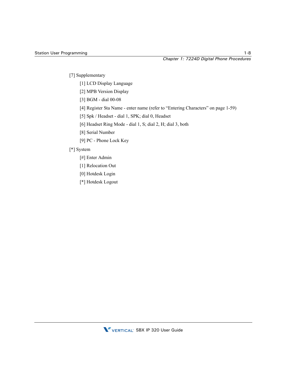[7] Supplementary

- [1] LCD Display Language
- [2] MPB Version Display
- [3] BGM dial 00-08
- [4] Register Sta Name enter name (refer to ["Entering Characters" on page 1-59\)](#page-66-0)
- [5] Spk / Headset dial 1, SPK; dial 0, Headset
- [6] Headset Ring Mode dial 1, S; dial 2, H; dial 3, both
- [8] Serial Number
- [9] PC Phone Lock Key
- [\*] System
	- [#] Enter Admin
	- [1] Relocation Out
	- [0] Hotdesk Login
	- [\*] Hotdesk Logout

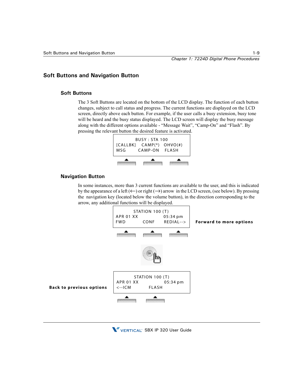#### <span id="page-16-1"></span><span id="page-16-0"></span>**Soft Buttons and Navigation Button**

#### **Soft Buttons**

The 3 Soft Buttons are located on the bottom of the LCD display. The function of each button changes, subject to call status and progress. The current functions are displayed on the LCD screen, directly above each button. For example, if the user calls a busy extension, busy tone will be heard and the busy status displayed. The LCD screen will display the busy message along with the different options available - "Message Wait", "Camp-On" and "Flash". By pressing the relevant button the desired feature is activated.



#### <span id="page-16-2"></span>**Navigation Button**

In some instances, more than 3 current functions are available to the user, and this is indicated by the appearance of a left  $(\leftarrow)$  or right  $(\rightarrow)$  arrow in the LCD screen, (see below). By pressing the navigation key (located below the volume button), in the direction corresponding to the arrow, any additional functions will be displayed.

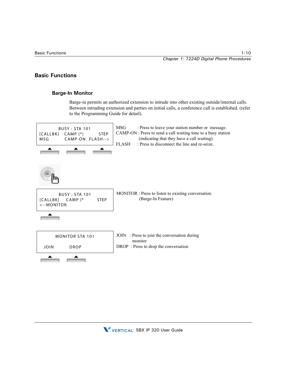#### <span id="page-17-1"></span><span id="page-17-0"></span>**Basic Functions**

#### **Barge-In Monitor**

Barge-in permits an authorized extension to intrude into other existing outside/internal calls. Between intruding extension and parties on initial calls, a conference call is established. (refer to the Programming Guide for detail).



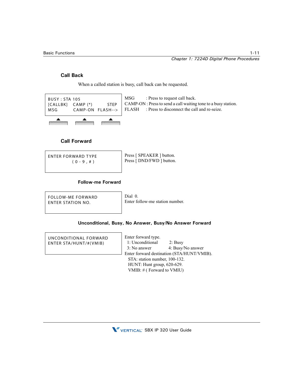#### <span id="page-18-0"></span>**Call Back**

When a called station is busy, call back can be requested.

| BUSY : STA 105    | MSG | : Press to request call back.                                         |
|-------------------|-----|-----------------------------------------------------------------------|
| [CALLBK] CAMP (*) |     | STEP   CAMP-ON : Press to send a call waiting tone to a busy station. |
| MSG               |     | CAMP-ON FLASH-->   FLASH : Press to disconnect the call and re-seize. |

#### **Call Forward**

<span id="page-18-1"></span>ENTER FORWARD TYPE  $(0 - 9, #)$ 

Press [ SPEAKER ] button. Press [ DND/FWD ] button.

#### **Follow-me Forward**

FOLLOW-ME FORWARD ENTER STATION NO.

Dial 0. Enter follow-me station number.

#### **Unconditional, Busy, No Answer, Busy/No Answer Forward**

UNCONDITIONAL FORWARD ENTER STA/HUNT/#( VMIB)

Enter forward type. 1: Unconditional 2: Busy 3: No answer 4: Busy/No answer Enter forward destination (STA/HUNT/VMIB). STA: station number, 100-132. HUNT: Hunt group, 620-629. VMIB: # ( Forward to VMIU)

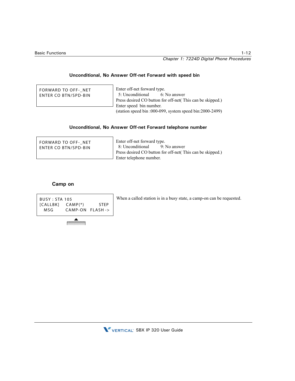#### **Unconditional, No Answer Off-net Forward with speed bin**

| FORWARD TO OFF-_NET<br><b>ENTER CO BTN/SPD-BIN</b> | Enter off-net forward type.<br>5: Unconditional 6: No answer<br>Press desired CO button for off-net(This can be skipped.) |
|----------------------------------------------------|---------------------------------------------------------------------------------------------------------------------------|
|                                                    | Enter speed bin number.                                                                                                   |
|                                                    | (station speed bin :000-099, system speed bin: $2000-2499$ )                                                              |

#### **Unconditional, No Answer Off-net Forward telephone number**

| FORWARD TO OFF-_NET<br><b>LENTER CO BTN/SPD-BIN</b> | Enter off-net forward type.<br>8: Unconditional 9: No answer<br>Press desired CO button for off-net (This can be skipped.) |
|-----------------------------------------------------|----------------------------------------------------------------------------------------------------------------------------|
|                                                     | Enter telephone number.                                                                                                    |

#### **Camp on**

<span id="page-19-0"></span>

| <b>BUSY: STA 105</b> |                 |             |  |  |
|----------------------|-----------------|-------------|--|--|
| $[CALLBK]$ $CAMP(*)$ |                 | <b>STEP</b> |  |  |
| MSG                  | CAMP-ON FLASH-> |             |  |  |
|                      |                 |             |  |  |



When a called station is in a busy state, a camp-on can be requested.

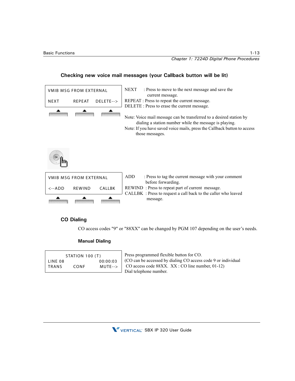#### **Checking new voice mail messages (your Callback button will be lit)**

<span id="page-20-0"></span>

| <b>VMIB MSG FROM EXTERNAL</b> |                         | : Press to move to the next message and save the<br>NEXT<br>current message.                                                                                                                                                 |
|-------------------------------|-------------------------|------------------------------------------------------------------------------------------------------------------------------------------------------------------------------------------------------------------------------|
| <b>NEXT</b><br>REPEAT         | DELETE-->               | REPEAT : Press to repeat the current message.                                                                                                                                                                                |
|                               |                         | DELETE: Press to erase the current message.                                                                                                                                                                                  |
|                               |                         | Note: Voice mail message can be transferred to a desired station by<br>dialing a station number while the message is playing.<br>Note: If you have saved voice mails, press the Callback button to access<br>those messages. |
|                               |                         |                                                                                                                                                                                                                              |
| <b>VMIB MSG FROM EXTERNAL</b> |                         | <b>ADD</b><br>: Press to tag the current message with your comment<br>before forwarding.                                                                                                                                     |
| $\leftarrow$ -ADD             | <b>CALLBK</b><br>REWIND | REWIND : Press to repeat part of current message.<br>CALLBK : Press to request a call back to the caller who leaved                                                                                                          |
|                               |                         | message.                                                                                                                                                                                                                     |

#### <span id="page-20-1"></span>**CO Dialing**

CO access codes "9" or "88XX" can be changed by PGM 107 depending on the user's needs.

#### **Manual Dialing**

|         | STATION 100 (T) |          |
|---------|-----------------|----------|
| LINE 08 |                 | 00:00:03 |
| TRANS   | CONF            | $MUTE--$ |

Press programmed flexible button for CO. (CO can be accessed by dialing CO access code 9 or individual CO access code 88XX. XX : CO line number, 01-12) Dial telephone number.

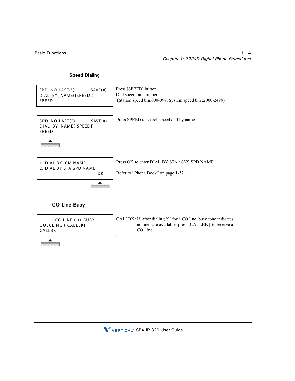#### **Speed Dialing**

| SPD NO LAST(*)<br>SAVE(H)<br>DIAL BY NAME([SPEED])<br><b>SPEED</b> | Press [SPEED] button.<br>Dial speed bin number.<br>(Station speed bin:000-099, System speed bin:2000-2499) |
|--------------------------------------------------------------------|------------------------------------------------------------------------------------------------------------|
| SAVE(H)<br>SPD NO LAST(*)<br>DIAL_BY_NAME([SPEED])<br><b>SPEED</b> | Press SPEED to search speed dial by name.                                                                  |
|                                                                    |                                                                                                            |
| 1. DIAL BY ICM NAME                                                | Press OK to enter DIAL BY STA / SYS SPD NAME.                                                              |

2. DIAL BY STA SPD NAME OK

e.<br>Kon

Refer to ["Phone Book" on page 1-52.](#page-59-0)

#### **CO Line Busy**

-----------------

<span id="page-21-0"></span>

| <b>CO LINE 001 BUSY</b> | CALLBK: If, after dialing '9' for a CO line, busy tone indicates |
|-------------------------|------------------------------------------------------------------|
| QUEUEING ([CALLBK])     | no lines are available, press [CALLBK] to reserve a              |
| CALLBK                  | $CO$ line.                                                       |
|                         |                                                                  |

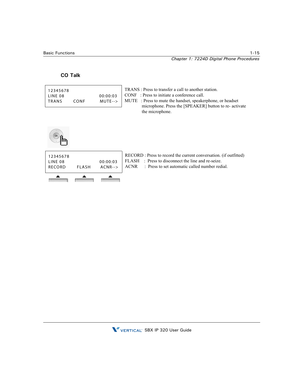#### **CO Talk**

<span id="page-22-0"></span>

| 12345678<br>LINE 08<br><b>TRANS</b> | CONF | 00:00:03<br>$MUTE--$ | TRANS: Press to transfer a call to another station.<br>CONF: Press to initiate a conference call.<br>MUTE : Press to mute the handset, speakerphone, or headset<br>microphone. Press the [SPEAKER] button to re-activate |
|-------------------------------------|------|----------------------|--------------------------------------------------------------------------------------------------------------------------------------------------------------------------------------------------------------------------|
|                                     |      |                      | the microphone.                                                                                                                                                                                                          |



| 12345678<br>LINE 08<br>RECORD | <b>FIASH</b> | 00:00:03<br>$ACNR--$ |
|-------------------------------|--------------|----------------------|
|                               |              |                      |

| RECORD : Press to record the current conversation. (if outfitted) |  |
|-------------------------------------------------------------------|--|
| FLASH: Press to disconnect the line and re-seize.                 |  |

ACNR : Press to set automatic called number redial.

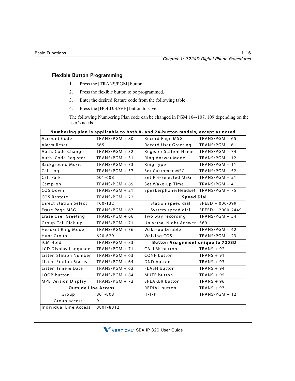#### <span id="page-23-0"></span>**Flexible Button Programming**

- 1. Press the [TRANS/PGM] button.
- 2. Press the flexible button to be programmed.
- 3. Enter the desired feature code from the following table.
- 4. Press the [HOLD/SAVE] button to save.

The following Numbering Plan code can be changed in PGM 104-107, 109 depending on the user's needs.

|                               |                  | Numbering plan is applicable to both 8- and 24-button models, except as noted |                       |
|-------------------------------|------------------|-------------------------------------------------------------------------------|-----------------------|
| Account Code                  | TRANS/PGM + 80   | Record Page MSG                                                               | $TRANS/PGM + 65$      |
| Alarm Reset                   | 565              | <b>Record User Greeting</b>                                                   | $TRANS/PGM + 61$      |
| Auth. Code Change             | $TRANS/PGM + 32$ | <b>Register Station Name</b>                                                  | $TRANS/PGM + 74$      |
| Auth. Code Register           | $TRANS/PGM + 31$ | Ring Answer Mode                                                              | $TRANS/PGM + 12$      |
| <b>Background Music</b>       | $TRANS/PGM + 73$ | Ring Type                                                                     | $TRANS/PGM + 11$      |
| Call Log                      | $TRANS/PGM + 57$ | <b>Set Customer MSG</b>                                                       | $TRANS/PGM + 52$      |
| Call Park                     | 601-608          | Set Pre-selected MSG                                                          | $TRANS/PGM + 51$      |
| Camp-on                       | $TRANS/PGM + 85$ | Set Wake-up Time                                                              | $TRANS/PGM + 41$      |
| COS Down                      | $TRANS/PGM + 21$ | Speakerphone/Headset                                                          | $TRANS/PGM + 75$      |
| COS Restore                   | $TRANS/PGM + 22$ | <b>Speed Dial</b>                                                             |                       |
| <b>Direct Station Select</b>  | $100 - 132$      | Station speed dial                                                            | $SPEED + 000-099$     |
| Erase Page MSG                | $TRANS/PGM + 67$ | System speed dial                                                             | $SPEED + 2000 - 2449$ |
| <b>Erase User Greeting</b>    | $TRANS/PGM + 66$ | Two way recording                                                             | $TRANS/PGM + 54$      |
| Group Call Pick-up            | $TRANS/PGM + 71$ | Universal Night Answer                                                        | 569                   |
| <b>Headset Ring Mode</b>      | $TRANS/PGM + 76$ | Wake-up Disable                                                               | $TRANS/PGM + 42$      |
| Hunt Group                    | 620-629          | Walking COS                                                                   | $TRANS/PGM + 23$      |
| <b>ICM Hold</b>               | $TRANS/PGM + 83$ | <b>Button Assignment unique to 7208D</b>                                      |                       |
| LCD Display Language          | $TRANS/PGM + 71$ | <b>CALLBK button</b>                                                          | $TRANS + 92$          |
| <b>Listen Station Number</b>  | $TRANS/PGM + 63$ | <b>CONF</b> button                                                            | $TRANS + 91$          |
| <b>Listen Station Status</b>  | $TRANS/PGM + 64$ | DND button                                                                    | $TRANS + 93$          |
| Listen Time & Date            | $TRANS/PGM + 62$ | <b>FLASH button</b>                                                           | $TRANS + 94$          |
| <b>LOOP</b> button            | $TRANS/PGM + 84$ | <b>MUTE</b> button                                                            | $TRANS + 95$          |
| <b>MPB Version Display</b>    | $TRANS/PGM + 72$ | <b>SPEAKER button</b>                                                         | $TRANS + 96$          |
| <b>Outside Line Access</b>    |                  | <b>REDIAL button</b>                                                          | $TRANS + 97$          |
| Group                         | 801-808          | $H - T - P$                                                                   | $TRANS/PGM + 12$      |
| Group access                  | 9                |                                                                               |                       |
| <b>Individual Line Access</b> | 8801-8812        |                                                                               |                       |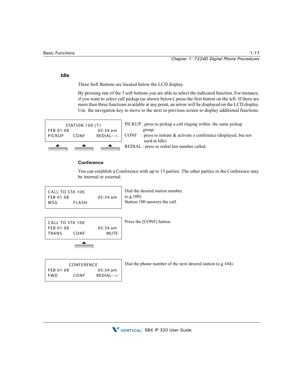<span id="page-24-0"></span>**Idle**

Three Soft Buttons are located below the LCD display.

By pressing one of the 3 soft buttons you are able to select the indicated function. For instance, if you want to select call pickup (as shown below), press the first button on the left. If there are more than three functions available at any point, an arrow will be displayed on the LCD display. Use the navigation key to move to the next or previous screen to display additional functions.

|           | <b>STATION 100 (T)</b> |                    | PICKUP: press to pickup a call ringing within the same pickup                                      |
|-----------|------------------------|--------------------|----------------------------------------------------------------------------------------------------|
| FEB 01 08 |                        | $05:34 \text{ am}$ | group.                                                                                             |
| PICKUP    | CONF                   | REDIAL-->          | : press to initiate $\&$ activate a conference (displayed, but not<br><b>CONF</b><br>used at Idle) |
|           |                        |                    | REDIAL : press to redial last number called.                                                       |

#### **Conference**

You can establish a Conference with up to 15 parties. The other parties in the Conference may be internal or external.

| CALL TO STA 100 |              |                             | Dial the desired station number. |
|-----------------|--------------|-----------------------------|----------------------------------|
| FEB 01 08       |              | 05:34 am $\left($ (e.g.100) |                                  |
| MSG             | <b>FLASH</b> |                             | Station 100 answers the call.    |

| CALL TO STA 100 |      |            |
|-----------------|------|------------|
| FFB 01 08       |      | $05:34$ am |
| TRANS           | CONF | MUTF       |

Press the [CONF] button.

| conconcon |
|-----------|
|           |
|           |
|           |

|            | CONFFRENCE |            |
|------------|------------|------------|
| FFB 01 08  |            | $05:34$ am |
| <b>FWD</b> | CONF       | $RFDIAL--$ |

Dial the phone number of the next desired station (e.g.104).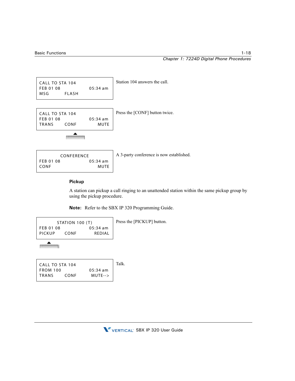| CALL TO STA 104<br>FEB 01 08<br>MSG<br><b>FLASH</b> | $05:34$ am                       | Station 104 answers the call.            |
|-----------------------------------------------------|----------------------------------|------------------------------------------|
| CALL TO STA 104<br>FEB 01 08<br>TRANS<br>CONF       | $05:34$ am<br>MUTE               | Press the [CONF] button twice.           |
|                                                     |                                  |                                          |
| FEB 01 08<br>CONF                                   | CONFERENCE<br>$05:34$ am<br>MUTE | A 3-party conference is now established. |

#### **Pickup**

A station can pickup a call ringing to an unattended station within the same pickup group by using the pickup procedure.

**Note:** Refer to the SBX IP 320 Programming Guide.

|           | <b>STATION 100 (T)</b> |            |
|-----------|------------------------|------------|
| FFB 01 08 |                        | $05:34$ am |
| PICKUP    | CONE                   | REDIAL     |

Press the [PICKUP] button.

| CALL TO STA 104 |      |                     | Talk. |
|-----------------|------|---------------------|-------|
| <b>FROM 100</b> |      |                     |       |
| TRANS           | CONF | 05:34 am<br>MUTE--> |       |

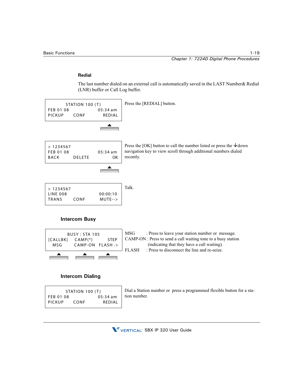#### **Redial**

The last number dialed on an external call is automatically saved in the LAST Number& Redial (LNR) buffer or Call Log buffer.

Press the [REDIAL] button.

|           | STATION 100 (T) |            |
|-----------|-----------------|------------|
| FFB 01 08 |                 | $05:34$ am |
| PICKUP    | CONF            | REDIAL     |
|           |                 |            |

| >1234567                 |               |                  |              |
|--------------------------|---------------|------------------|--------------|
| FFB 01 08<br><b>BACK</b> | <b>DELETE</b> | $05:34$ am<br>OK | $\mathbf{I}$ |
|                          |               |                  |              |

Press the [OK] button to call the number listed or press the  $\sqrt{2}$ down navigation key to view scroll through additional numbers dialed recently.

| >1234567         |      |                     | Talk. |
|------------------|------|---------------------|-------|
| <b>I INF 008</b> |      |                     |       |
| TRANS            | CONF | 00:00:10<br>MUTE--> |       |

#### **Intercom Busy**

<span id="page-26-0"></span>

|                  | <b>BUSY: STA 105</b> |             |  |
|------------------|----------------------|-------------|--|
| [CALLBK] CAMP(*) |                      | <b>STEP</b> |  |
| MSG              | CAMP-ON FLASH->      |             |  |
|                  |                      |             |  |

| MSG          | : Press to leave your station number or message.              |
|--------------|---------------------------------------------------------------|
|              | CAMP-ON : Press to send a call waiting tone to a busy station |
|              | (indicating that they have a call waiting).                   |
| <b>FLASH</b> | : Press to disconnect the line and re-seize.                  |

#### **Intercom Dialing**

<span id="page-26-1"></span>

|           | <b>STATION 100 (T)</b> |            |
|-----------|------------------------|------------|
| FEB 01 08 |                        | $05:34$ am |
| I PICKUP  | CONF                   | REDIAL     |

Dial a Station number or press a programmed flexible button for a station number.

SBX IP 320 User Guide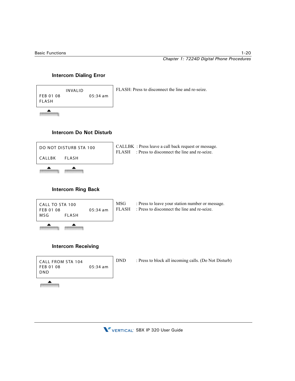#### **Intercom Dialing Error**

<span id="page-27-0"></span>

|           | <b>INVALID</b> |            |
|-----------|----------------|------------|
| FEB 01 08 |                | $05:34$ am |
| FLASH     |                |            |
|           |                |            |

#### **Intercom Do Not Disturb**

<span id="page-27-1"></span>

CALLBK : Press leave a call back request or message. FLASH : Press to disconnect the line and re-seize.

FLASH: Press to disconnect the line and re-seize.

#### **Intercom Ring Back**

<span id="page-27-2"></span>

MSG : Press to leave your station number or message.

FLASH : Press to disconnect the line and re-seize.

#### **Intercom Receiving**

<span id="page-27-3"></span>

| <b>CALL FROM STA 104</b> |            |  |
|--------------------------|------------|--|
| FFB 01 08                | $05:34$ am |  |
| <b>DND</b>               |            |  |

DND : Press to block all incoming calls. (Do Not Disturb)

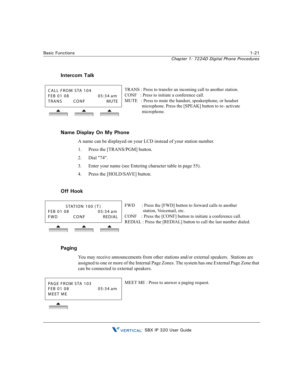or headset re- activate

#### **Intercom Talk**

<span id="page-28-0"></span>

| <b>CALL FROM STA 104</b><br>FEB 01 08<br>TRANS | CONF | $05:34$ am<br><b>MUTE</b> | TRANS: Press to transfer an incoming call to another station.<br>CONF: Press to initiate a conference call.<br>MUTE : Press to mute the handset, speakerphone, or headset<br>microphone. Press the [SPEAK] button to re-activate |
|------------------------------------------------|------|---------------------------|----------------------------------------------------------------------------------------------------------------------------------------------------------------------------------------------------------------------------------|
|                                                |      |                           | microphone.                                                                                                                                                                                                                      |

#### <span id="page-28-1"></span>**Name Display On My Phone**

A name can be displayed on your LCD instead of your station number.

- 1. Press the [TRANS/PGM] button.
- 2. Dial "74".
- 3. Enter your name (see Entering character table in page 55).
- 4. Press the [HOLD/SAVE] button.

#### **Off Hook**

<span id="page-28-2"></span>

FWD : Press the [FWD] button to forward calls to another station, Voicemail, etc. CONF : Press the [CONF] button to initiate a conference call. REDIAL : Press the [REDIAL] button to call the last number dialed.

#### <span id="page-28-3"></span>**Paging**

You may receive announcements from other stations and/or external speakers. Stations are assigned to one or more of the Internal Page Zones. The system has one External Page Zone that can be connected to external speakers.

```
PAGE FROM STA 103
FEB 01 08 05:34 am
MEET ME
```
MEET ME : Press to answer a paging request.



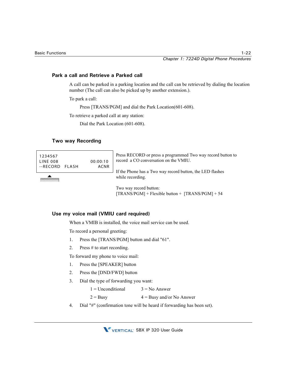#### <span id="page-29-0"></span>**Park a call and Retrieve a Parked call**

A call can be parked in a parking location and the call can be retrieved by dialing the location number (The call can also be picked up by another extension.).

To park a call:

Press [TRANS/PGM] and dial the Park Location(601-608).

To retrieve a parked call at any station:

Dial the Park Location (601-608).

#### **Two way Recording**

<span id="page-29-1"></span>

| 1234567<br><b>LINE 008</b><br>--RECORD FLASH | 00:00:10<br><b>ACNR</b> | Press RECORD or press a programmed Two way record button to<br>record a CO conversation on the VMIU.<br>If the Phone has a Two way record button, the LED flashes |
|----------------------------------------------|-------------------------|-------------------------------------------------------------------------------------------------------------------------------------------------------------------|
|                                              |                         | while recording.                                                                                                                                                  |

Two way record button: [TRANS/PGM] + Flexible button + [TRANS/PGM] + 54

#### <span id="page-29-2"></span>**Use my voice mail (VMIU card required)**

When a VMIB is installed, the voice mail service can be used.

To record a personal greeting:

- 1. Press the [TRANS/PGM] button and dial "61".
- 2. Press # to start recording.

To forward my phone to voice mail:

- 1. Press the [SPEAKER] button
- 2. Press the [DND/FWD] button
- 3. Dial the type of forwarding you want:

 $1 =$  Unconditional  $3 =$  No Answer

 $2 = Busy$   $4 = Busy$  and/or No Answer

4. Dial "#" (confirmation tone will be heard if forwarding has been set).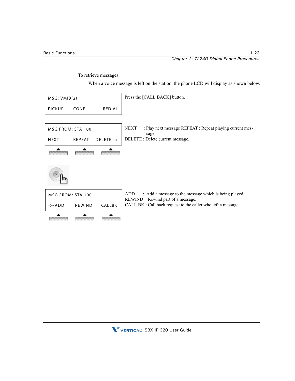To retrieve messages:

When a voice message is left on the station, the phone LCD will display as shown below.



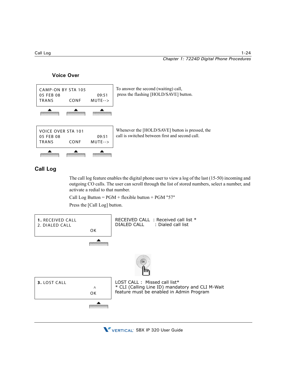#### **Voice Over**

<span id="page-31-0"></span>

#### <span id="page-31-1"></span>**Call Log**

The call log feature enables the digital phone user to view a log of the last (15-50) incoming and outgoing CO calls. The user can scroll through the list of stored numbers, select a number, and activate a redial to that number.

Call Log Button =  $PGM + flexible$  button +  $PGM$  "57"

Press the [Call Log] button.

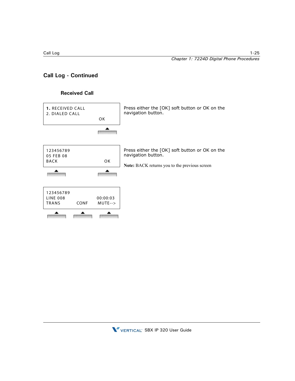#### **Call Log - Continued**

#### **Received Call**

<span id="page-32-0"></span>

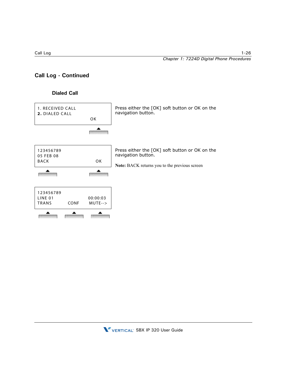#### **Call Log - Continued**



<span id="page-33-0"></span>

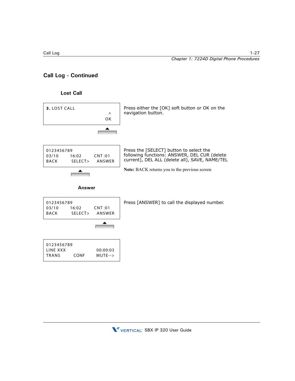#### **Call Log - Continued**

#### **Lost Call**

<span id="page-34-0"></span>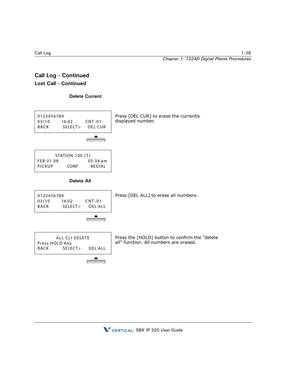#### **Call Log - Continued Lost Call - Continued**

#### **Delete Current**

| 0123456789<br>03/10<br>CNT:01<br>16:02<br><b>BACK</b><br>SELECT><br>DEL CUR | Press [DEL CUR] to erase the currently<br>displayed number. |
|-----------------------------------------------------------------------------|-------------------------------------------------------------|
|                                                                             |                                                             |
| STATION 100 (T)                                                             |                                                             |
| FEB 01 08<br>$05:34$ am                                                     |                                                             |
| PICKUP<br>CONF<br><b>REDIAL</b>                                             |                                                             |
|                                                                             |                                                             |
| <b>Delete All</b>                                                           |                                                             |
| 0123456789                                                                  | Press [DEL ALL] to erase all numbers.                       |
| 03/10<br>16:02<br>CNT:01                                                    |                                                             |
| BACK<br>SELECT><br>DEL ALL                                                  |                                                             |
|                                                                             |                                                             |
| ALL CLI DELETE                                                              | Press the [HOLD] button to confirm the "delete              |
| Press HOLD Key                                                              | all" function. All numbers are erased.                      |
| SELECT><br><b>BACK</b><br>DEL ALL                                           |                                                             |
|                                                                             |                                                             |

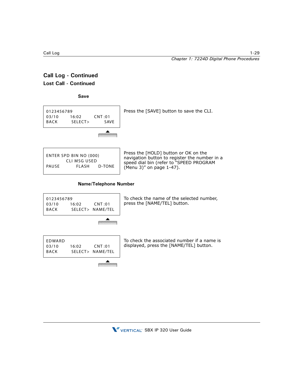# **Call Log - Continued Lost Call - Continued**

**Save**

| 0123456789  |         |             |  |
|-------------|---------|-------------|--|
| 03/10       | 16:02   | CNT:01      |  |
| <b>BACK</b> | SELECT> | <b>SAVF</b> |  |
|             |         |             |  |

ess the [SAVE] button to save the CLI.

|             | ENTER SPD BIN NO (000) |              |
|-------------|------------------------|--------------|
| CLLMSG USED |                        |              |
| PAUSE       |                        | FLASH D-TONE |

Press the [HOLD] button or OK on the navigation button to register the number in a speed dial bin (refer to ["SPEED PROGRAM](#page-54-0)  [\(Menu 3\)" on page 1-47](#page-54-0)).

## **Name/Telephone Number**

63333

| 0123456789  |       |                  |
|-------------|-------|------------------|
| 03/10       | 16:02 | CNT:01           |
| <b>BACK</b> |       | SELECT> NAME/TEL |
|             |       |                  |

To check the name of the selected number, press the [NAME/TEL] button.

| FDWARD      |       |                  |
|-------------|-------|------------------|
| 03/10       | 16:02 | CNT:01           |
| <b>BACK</b> |       | SELECT> NAME/TEL |
|             |       |                  |

To check the associated number if a name is displayed, press the [NAME/TEL] button.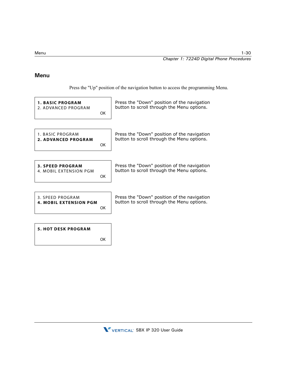# **Menu**

Press the "Up" position of the navigation button to access the programming Menu.

**1. BASIC PROGRAM**

2. ADVANCED PROGRAM

**OK** 

**OK** 

Press the "Down" position of the navigation button to scroll through the Menu options.

1. BASIC PROGRAM **2. ADVANCED PROGRAM**

Press the "Down" position of the navigation button to scroll through the Menu options.

| <b>3. SPEED PROGRAM</b> |    |
|-------------------------|----|
| 4. MOBIL EXTENSION PGM  |    |
|                         | OK |

Press the "Down" position of the navigation button to scroll through the Menu options.

| 3. SPEED PROGRAM              |    |
|-------------------------------|----|
| <b>4. MOBIL EXTENSION PGM</b> |    |
|                               | OK |

Press the "Down" position of the navigation button to scroll through the Menu options.

**5. HOT DESK PROGRAM** OK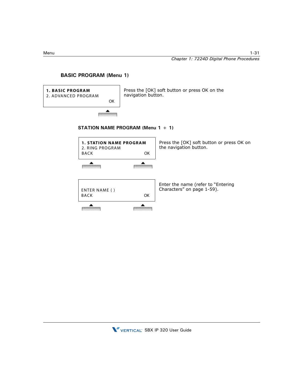#### *Chapter 1: 7224D Digital Phone Procedures*

## **BASIC PROGRAM (Menu 1)**



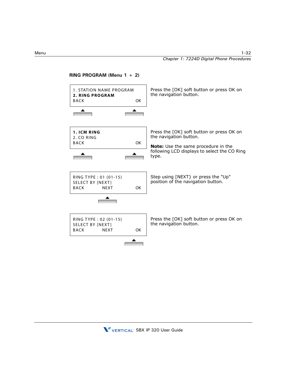#### *Chapter 1: 7224D Digital Phone Procedures*

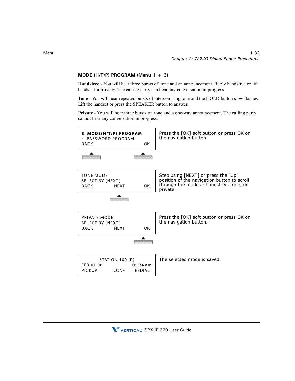## **MODE (H/T/P) PROGRAM (Menu 1 + 3)**

**Handsfree** - You will hear three bursts of tone and an announcement. Reply handsfree or lift handset for privacy. The calling party can hear any conversation in progress.

**Tone** - You will hear repeated bursts of intercom ring tone and the HOLD button slow flashes. Lift the handset or press the SPEAKER button to answer.

**Private** - You will hear three bursts of tone and a one-way announcement. The calling party cannot hear any conversation in progress.

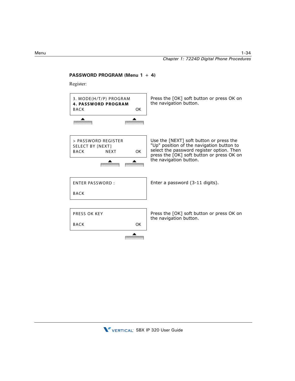## **PASSWORD PROGRAM (Menu 1 + 4)**

Register:



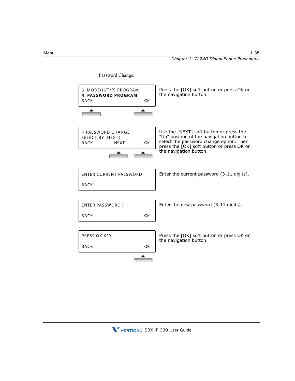#### *Chapter 1: 7224D Digital Phone Procedures*

Password Change:



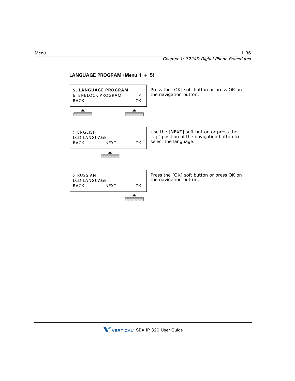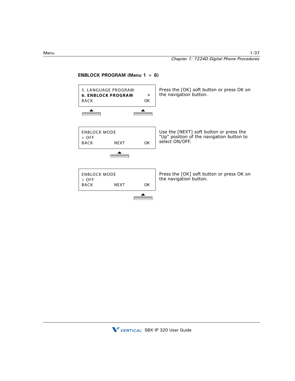

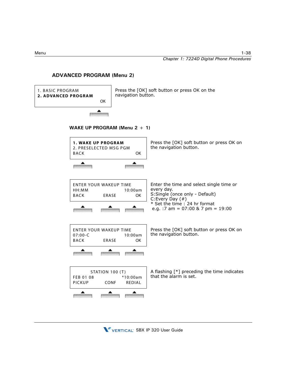## **ADVANCED PROGRAM (Menu 2)**



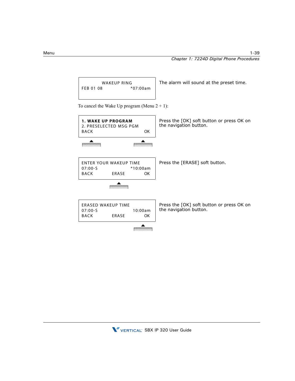*Chapter 1: 7224D Digital Phone Procedures*



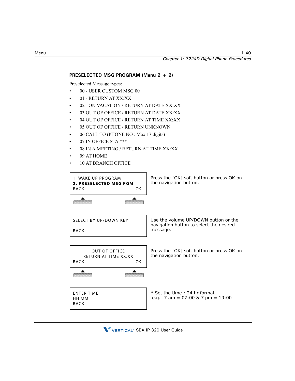## **PRESELECTED MSG PROGRAM (Menu 2 + 2)**

Preselected Message types:

- 00 USER CUSTOM MSG 00
- 01 RETURN AT XX:XX
- 02 ON VACATION / RETURN AT DATE XX:XX
- 03 OUT OF OFFICE / RETURN AT DATE XX:XX
- 04 OUT OF OFFICE / RETURN AT TIME XX:XX
- 05 OUT OF OFFICE / RETURN UNKNOWN
- 06 CALL TO (PHONE NO : Max 17 digits)
- 07 IN OFFICE STA \*\*\*
- 08 IN A MEETING / RETURN AT TIME XX:XX
- 09 AT HOME
- 10 AT BRANCH OFFICE

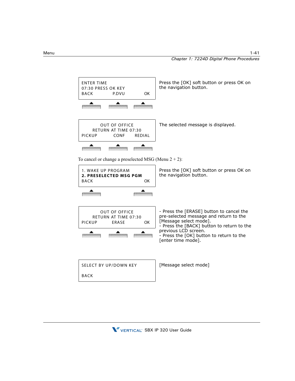*Chapter 1: 7224D Digital Phone Procedures*

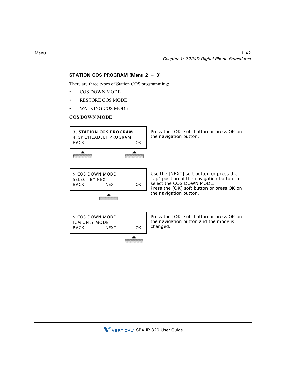## **STATION COS PROGRAM (Menu 2 + 3)**

There are three types of Station COS programming:

- COS DOWN MODE
- RESTORE COS MODE
- WALKING COS MODE

## **COS DOWN MODE**

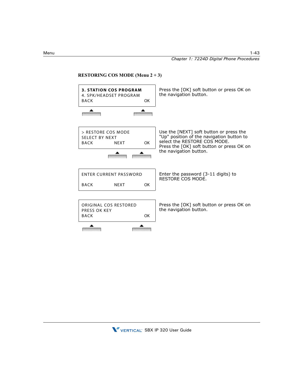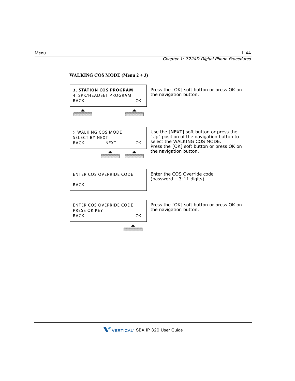

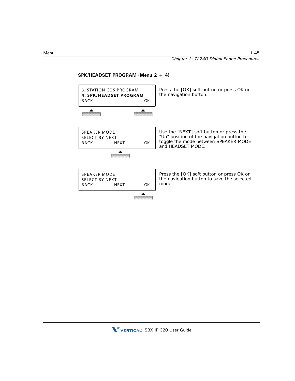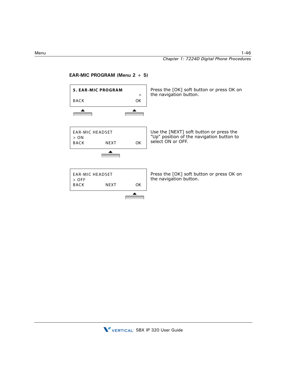

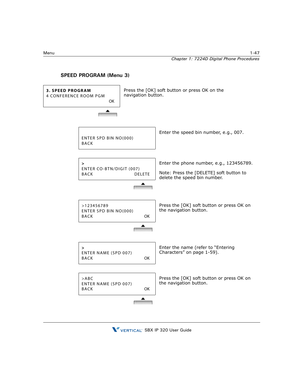<span id="page-54-0"></span>

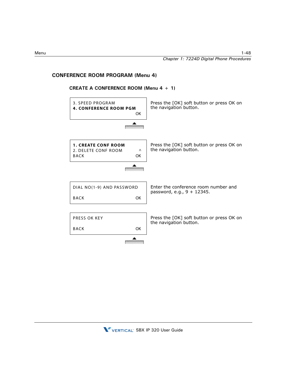## **CONFERENCE ROOM PROGRAM (Menu 4)**

## **CREATE A CONFERENCE ROOM (Menu 4 + 1)**

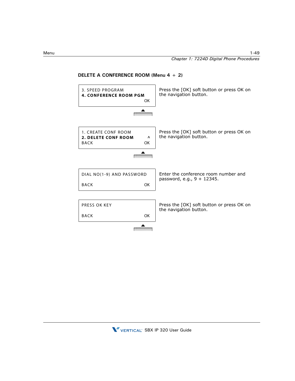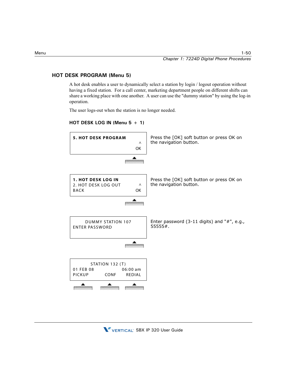# **HOT DESK PROGRAM (Menu 5)**

A hot desk enables a user to dynamically select a station by login / logout operation without having a fixed station. For a call center, marketing department people on different shifts can share a working place with one another. A user can use the "dummy station" by using the log-in operation.

The user logs-out when the station is no longer needed.

# **5. HOT DESK PROGRAM**  $\wedge$ OK Press the [OK] soft button or press OK on the navigation button. **1. HOT DESK LOG IN** 2. HOT DESK LOG OUT  $\land$ BACK OK Press the [OK] soft button or press OK on the navigation button. DUMMY STATION 107 ENTER PASSWORD Enter password (3-11 digits) and "#", e.g., 55555#. STATION 132 (T) 01 FEB 08 06:00 am PICKUP CONF REDIAL

## **HOT DESK LOG IN (Menu 5 + 1)**

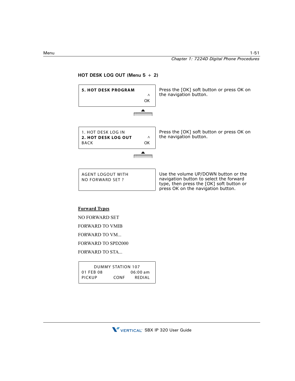# **HOT DESK LOG OUT (Menu 5 + 2) 5. HOT DESK PROGRAM**  $\wedge$ **OK** Press the [OK] soft button or press OK on the navigation button. 1. HOT DESK LOG IN **2. HOT DESK LOG OUT** ^ BACK OK Press the [OK] soft button or press OK on the navigation button. AGENT LOGOUT WITH NO FORWARD SET ? Use the volume UP/DOWN button or the navigation button to select the forward type, then press the [OK] soft button or press OK on the navigation button.

## **Forward Types**

NO FORWARD SET

FORWARD TO VMIB

FORWARD TO VM...

FORWARD TO SPD2000

FORWARD TO STA...

|           | DUMMY STATION 107 |            |
|-----------|-------------------|------------|
| 01 FEB 08 |                   | $06:00$ am |
| PICKUP    | <b>CONF</b>       | REDIAL     |

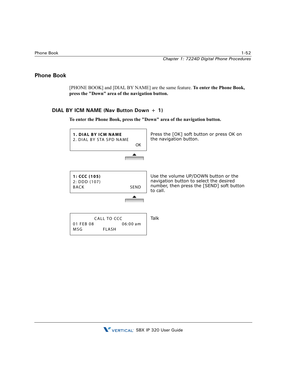# **Phone Book**

[PHONE BOOK] and [DIAL BY NAME] are the same feature. **To enter the Phone Book, press the "Down" area of the navigation button.**

## **DIAL BY ICM NAME (Nav Button Down + 1)**

**To enter the Phone Book, press the "Down" area of the navigation button.**

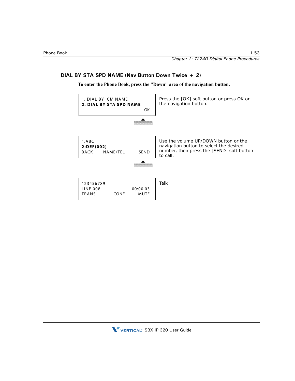## **DIAL BY STA SPD NAME (Nav Button Down Twice + 2)**

**To enter the Phone Book, press the "Down" area of the navigation button.**

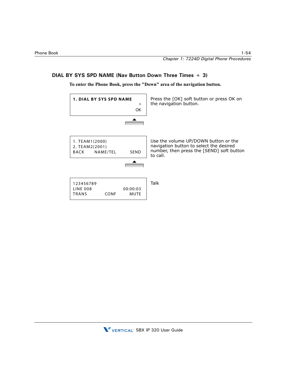# **DIAL BY SYS SPD NAME (Nav Button Down Three Times + 3)**

**To enter the Phone Book, press the "Down" area of the navigation button.**

| <b>1. DIAL BY SYS SPD NAME</b><br>$\wedge$<br>0K                         | Press the [OK] soft button or press OK on<br>the navigation button.                                                                      |
|--------------------------------------------------------------------------|------------------------------------------------------------------------------------------------------------------------------------------|
|                                                                          |                                                                                                                                          |
| 1. TEAM1(2000)<br>2. TEAM2(2001)<br>BACK<br>NAME/TEL<br><b>SEND</b>      | Use the volume UP/DOWN button or the<br>navigation button to select the desired<br>number, then press the [SEND] soft button<br>to call. |
|                                                                          |                                                                                                                                          |
| 123456789<br><b>LINE 008</b><br>00:00:03<br>TRANS<br><b>CONF</b><br>MUTE | Talk                                                                                                                                     |

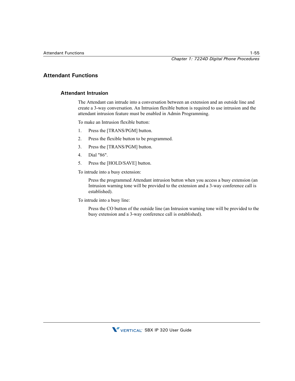# **Attendant Functions**

## **Attendant Intrusion**

The Attendant can intrude into a conversation between an extension and an outside line and create a 3-way conversation. An Intrusion flexible button is required to use intrusion and the attendant intrusion feature must be enabled in Admin Programming.

To make an Intrusion flexible button:

- 1. Press the [TRANS/PGM] button.
- 2. Press the flexible button to be programmed.
- 3. Press the [TRANS/PGM] button.
- 4. Dial "86".
- 5. Press the [HOLD/SAVE] button.

To intrude into a busy extension:

Press the programmed Attendant intrusion button when you access a busy extension (an Intrusion warning tone will be provided to the extension and a 3-way conference call is established).

To intrude into a busy line:

Press the CO button of the outside line (an Intrusion warning tone will be provided to the busy extension and a 3-way conference call is established).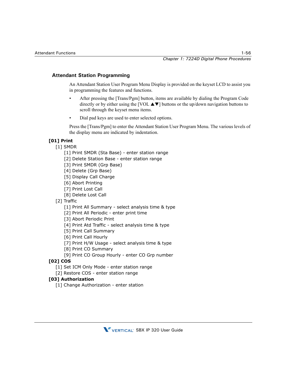# **Attendant Station Programming**

An Attendant Station User Program Menu Display is provided on the keyset LCD to assist you in programming the features and functions.

- After pressing the [Trans/Pgm] button, items are available by dialing the Program Code directly or by either using the [VOL  $\blacktriangle$   $\blacktriangledown$ ] buttons or the up/down navigation buttons to scroll through the keyset menu items.
- Dial pad keys are used to enter selected options.

Press the [Trans/Pgm] to enter the Attendant Station User Program Menu. The various levels of the display menu are indicated by indentation.

## **[01] Print**

[1] SMDR

- [1] Print SMDR (Sta Base) enter station range
- [2] Delete Station Base enter station range
- [3] Print SMDR (Grp Base)
- [4] Delete (Grp Base)
- [5] Display Call Charge
- [6] Abort Printing
- [7] Print Lost Call
- [8] Delete Lost Call
- [2] Traffic
	- [1] Print All Summary select analysis time & type
	- [2] Print All Periodic enter print time
	- [3] Abort Periodic Print
	- [4] Print Atd Traffic select analysis time & type
	- [5] Print Call Summary
	- [6] Print Call Hourly
	- [7] Print H/W Usage select analysis time & type
	- [8] Print CO Summary
	- [9] Print CO Group Hourly enter CO Grp number

# **[02] COS**

- [1] Set ICM Only Mode enter station range
- [2] Restore COS enter station range

## **[03] Authorization**

[1] Change Authorization - enter station

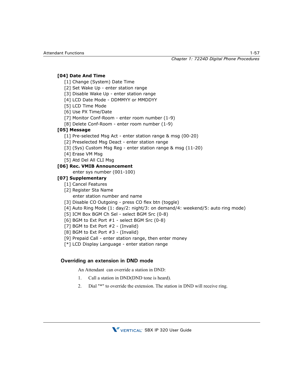## **[04] Date And Time**

- [1] Change (System) Date Time
- [2] Set Wake Up enter station range
- [3] Disable Wake Up enter station range
- [4] LCD Date Mode DDMMYY or MMDDYY
- [5] LCD Time Mode
- [6] Use PX Time/Date
- [7] Monitor Conf-Room enter room number (1-9)
- [8] Delete Conf-Room enter room number (1-9)

## **[05] Message**

- [1] Pre-selected Msg Act enter station range & msg (00-20)
- [2] Preselected Msg Deact enter station range
- [3] (Sys) Custom Msg Reg enter station range & msg (11-20)
- [4] Erase VM Msg
- [5] Atd Del All CLI Msg

## **[06] Rec. VMIB Announcement**

enter sys number (001-100)

## **[07] Supplementary**

- [1] Cancel Features
- [2] Register Sta Name
	- enter station number and name
- [3] Disable CO Outgoing press CO flex btn (toggle)
- [4] Auto Ring Mode (1: day/2: night/3: on demand/4: weekend/5: auto ring mode)
- [5] ICM Box BGM Ch Sel select BGM Src (0-8)
- $[6]$  BGM to Ext Port  $#1$  select BGM Src  $(0-8)$
- [7] BGM to Ext Port  $#2 (Invalid)$
- [8] BGM to Ext Port  $#3$  (Invalid)
- [9] Prepaid Call enter station range, then enter money
- [\*] LCD Display Language enter station range

## **Overriding an extension in DND mode**

An Attendant can override a station in DND:

- 1. Call a station in DND(DND tone is heard).
- 2. Dial "\*" to override the extension. The station in DND will receive ring.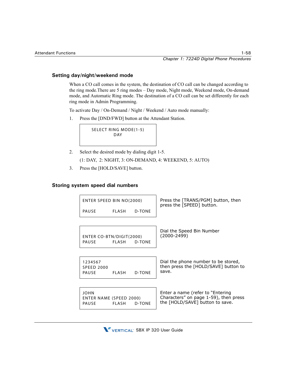## **Setting day/night/weekend mode**

When a CO call comes in the system, the destination of CO call can be changed according to the ring mode.There are 5 ring modes – Day mode, Night mode, Weekend mode, On-demand mode, and Automatic Ring mode. The destination of a CO call can be set differently for each ring mode in Admin Programming.

To activate Day / On-Demand / Night / Weekend / Auto mode manually:

1. Press the [DND/FWD] button at the Attendant Station.



2. Select the desired mode by dialing digit 1-5.

(1: DAY, 2: NIGHT, 3: ON-DEMAND, 4: WEEKEND, 5: AUTO)

3. Press the [HOLD/SAVE] button.

## **Storing system speed dial numbers**

| ENTER SPEED BIN NO(2000)                                                  | Press the [TRANS/PGM] button, then<br>press the [SPEED] button.                                               |
|---------------------------------------------------------------------------|---------------------------------------------------------------------------------------------------------------|
| <b>PAUSE</b><br>FLASH<br>D-TONE                                           |                                                                                                               |
|                                                                           |                                                                                                               |
| ENTER CO-BTN/DIGIT(2000)<br>PAUSE<br><b>FLASH</b><br>D-TONF               | Dial the Speed Bin Number<br>$(2000 - 2499)$                                                                  |
|                                                                           |                                                                                                               |
| 1234567<br><b>SPEED 2000</b><br>D-TONE<br>PAUSE<br>FI ASH                 | Dial the phone number to be stored,<br>then press the [HOLD/SAVE] button to<br>save.                          |
|                                                                           |                                                                                                               |
| <b>JOHN</b><br>ENTER NAME (SPEED 2000)<br><b>PAUSE</b><br>FLASH<br>D-TONE | Enter a name (refer to "Entering"<br>Characters" on page 1-59), then press<br>the [HOLD/SAVE] button to save. |

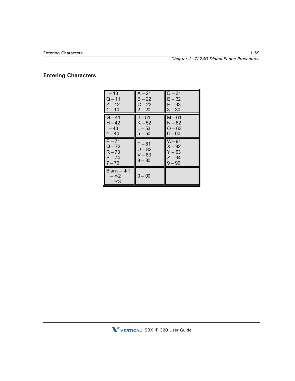# <span id="page-66-0"></span>**Entering Characters**

| $-13$                                                  | A – 21                                     | $D - 31$                                                 |
|--------------------------------------------------------|--------------------------------------------|----------------------------------------------------------|
| $Q - 11$<br>Z – 12<br>$1 - 10$                         | $B - 22$<br>$C - 23$<br>$2 - 20$           | E – 32<br>F – 33<br>$3 - 30$                             |
| $G - 41$<br>$H - 42$<br>$1 - 43$<br>$4 - 40$           | $J - 51$<br>K – 52<br>$L - 53$<br>$5 - 50$ | $M - 61$<br>$N - 62$<br>$O - 63$<br>$6 - 60$             |
| $P - 71$<br>Q – 72<br>$R - 73$<br>$S - 74$<br>$7 - 70$ | T – 81<br>$U - 82$<br>V – 83<br>$8 - 80$   | $W - 91$<br>$X - 92$<br>$Y - 93$<br>$Z - 94$<br>$9 - 90$ |
| Blank $ *1$<br>$- * 2$<br>$, -*3$                      | $0-00$                                     |                                                          |

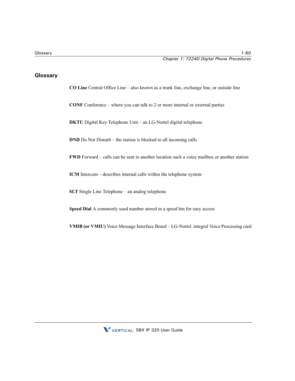# **Glossary**

**CO Line** Central Office Line – also known as a trunk line, exchange line, or outside line

**CONF** Conference – where you can talk to 2 or more internal or external parties

**DKTU** Digital Key Telephone Unit – an LG-Nortel digital telephone

**DND** Do Not Disturb – the station is blocked to all incoming calls

**FWD** Forward – calls can be sent to another location such a voice mailbox or another station

**ICM** Intercom – describes internal calls within the telephone system

**SLT** Single Line Telephone – an analog telephone

**Speed Dial** A commonly used number stored in a speed bin for easy access

**VMIB (or VMIU)** Voice Message Interface Board – LG-Nortel integral Voice Processing card

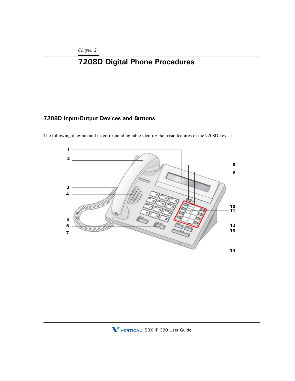# **7208D Digital Phone Procedures**

# **7208D Input/Output Devices and Buttons**

The following diagram and its corresponding table identify the basic features of the 7208D keyset.

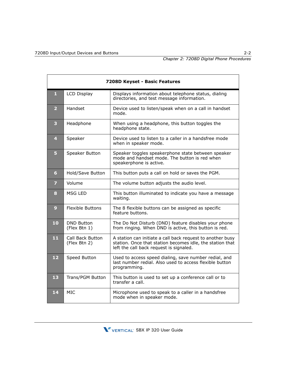r

Ť

| 7208D Keyset - Basic Features |                                   |                                                                                                                                                                    |
|-------------------------------|-----------------------------------|--------------------------------------------------------------------------------------------------------------------------------------------------------------------|
| $\mathbf{1}$                  | <b>LCD Display</b>                | Displays information about telephone status, dialing<br>directories, and test message information.                                                                 |
| $\overline{2}$                | Handset                           | Device used to listen/speak when on a call in handset<br>mode.                                                                                                     |
| 3                             | Headphone                         | When using a headphone, this button toggles the<br>headphone state.                                                                                                |
| 4                             | Speaker                           | Device used to listen to a caller in a handsfree mode<br>when in speaker mode.                                                                                     |
| 5                             | Speaker Button                    | Speaker toggles speakerphone state between speaker<br>mode and handset mode. The button is red when<br>speakerphone is active.                                     |
| 6                             | Hold/Save Button                  | This button puts a call on hold or saves the PGM.                                                                                                                  |
| 7                             | Volume                            | The volume button adjusts the audio level.                                                                                                                         |
| 8                             | <b>MSG LED</b>                    | This button illuminated to indicate you have a message<br>waiting.                                                                                                 |
| 9                             | <b>Flexible Buttons</b>           | The 8 flexible buttons can be assigned as specific<br>feature buttons.                                                                                             |
| 10                            | <b>DND Button</b><br>(Flex Btn 1) | The Do Not Disturb (DND) feature disables your phone<br>from ringing. When DND is active, this button is red.                                                      |
| 11                            | Call Back Button<br>(Flex Btn 2)  | A station can initiate a call back request to another busy<br>station. Once that station becomes idle, the station that<br>left the call back request is signaled. |
| 12                            | Speed Button                      | Used to access speed dialing, save number redial, and<br>last number redial. Also used to access flexible button<br>programming.                                   |
| 13                            | Trans/PGM Button                  | This button is used to set up a conference call or to<br>transfer a call.                                                                                          |
| 14                            | MIC                               | Microphone used to speak to a caller in a handsfree<br>mode when in speaker mode.                                                                                  |

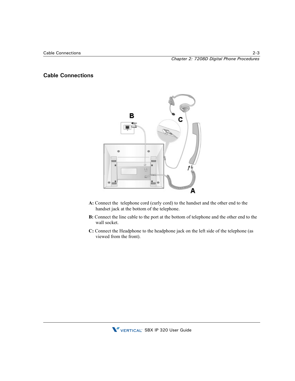# **Cable Connections**



- **A:** Connect the telephone cord (curly cord) to the handset and the other end to the handset jack at the bottom of the telephone.
- **B:** Connect the line cable to the port at the bottom of telephone and the other end to the wall socket.
- **C:** Connect the Headphone to the headphone jack on the left side of the telephone (as viewed from the front).

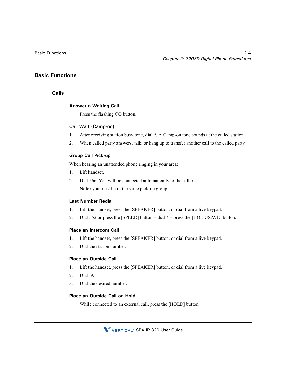# **Basic Functions**

## **Calls**

#### **Answer a Waiting Call**

Press the flashing CO button.

#### **Call Wait (Camp-on)**

- 1. After receiving station busy tone, dial \*. A Camp-on tone sounds at the called station.
- 2. When called party answers, talk, or hang up to transfer another call to the called party.

## **Group Call Pick-up**

When hearing an unattended phone ringing in your area:

- 1. Lift handset.
- 2. Dial 566. You will be connected automatically to the caller. **Note:** you must be in the same pick-up group.

## **Last Number Redial**

- 1. Lift the handset, press the [SPEAKER] button, or dial from a live keypad.
- 2. Dial 552 or press the [SPEED] button + dial \* + press the [HOLD/SAVE] button.

## **Place an Intercom Call**

- 1. Lift the handset, press the [SPEAKER] button, or dial from a live keypad.
- 2. Dial the station number.

## **Place an Outside Call**

- 1. Lift the handset, press the [SPEAKER] button, or dial from a live keypad.
- 2. Dial 9.
- 3. Dial the desired number.

## **Place an Outside Call on Hold**

While connected to an external call, press the [HOLD] button.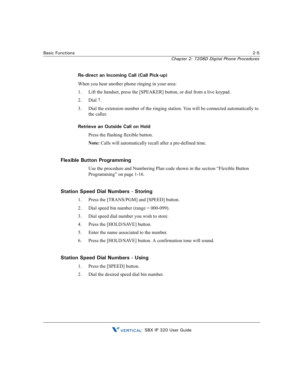#### <span id="page-72-0"></span>**Re-direct an Incoming Call (Call Pick-up)**

When you hear another phone ringing in your area:

- 1. Lift the handset, press the [SPEAKER] button, or dial from a live keypad.
- 2. Dial 7.
- 3. Dial the extension number of the ringing station. You will be connected automatically to the caller.

#### <span id="page-72-1"></span>**Retrieve an Outside Call on Hold**

Press the flashing flexible button.

**Note:** Calls will automatically recall after a pre-defined time.

#### **Flexible Button Programming**

Use the procedure and Numbering Plan code shown in the section ["Flexible Button](#page-23-0)  [Programming" on page 1-16.](#page-23-0)

#### <span id="page-72-2"></span>**Station Speed Dial Numbers - Storing**

- 1. Press the [TRANS/PGM] and [SPEED] button.
- 2. Dial speed bin number (range  $= 000-099$ ).
- 3. Dial speed dial number you wish to store.
- 4. Press the [HOLD/SAVE] button.
- 5. Enter the name associated to the number.
- 6. Press the [HOLD/SAVE] button. A confirmation tone will sound.

#### <span id="page-72-3"></span>**Station Speed Dial Numbers - Using**

- 1. Press the [SPEED] button.
- 2. Dial the desired speed dial bin number.

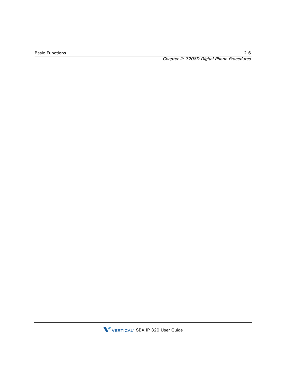*Chapter 2: 7208D Digital Phone Procedures*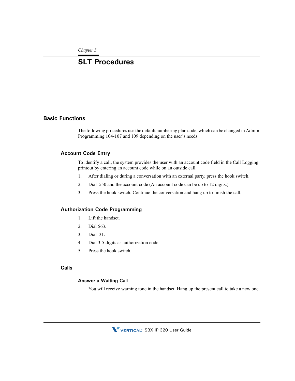# **SLT Procedures**

### **Basic Functions**

The following procedures use the default numbering plan code, which can be changed in Admin Programming 104-107 and 109 depending on the user's needs.

### <span id="page-74-0"></span>**Account Code Entry**

To identify a call, the system provides the user with an account code field in the Call Logging printout by entering an account code while on an outside call.

- 1. After dialing or during a conversation with an external party, press the hook switch.
- 2. Dial 550 and the account code (An account code can be up to 12 digits.)
- 3. Press the hook switch. Continue the conversation and hang up to finish the call.

### <span id="page-74-2"></span>**Authorization Code Programming**

- 1. Lift the handset.
- 2. Dial 563.
- 3. Dial 31.
- 4. Dial 3-5 digits as authorization code.
- 5. Press the hook switch.

#### **Calls**

#### <span id="page-74-1"></span>**Answer a Waiting Call**

You will receive warning tone in the handset. Hang up the present call to take a new one.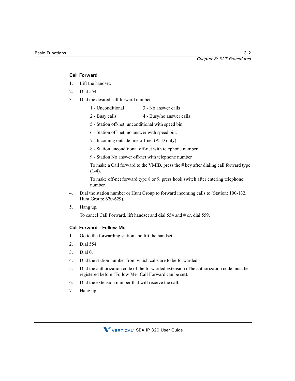#### <span id="page-75-1"></span>**Call Forward**

- 1. Lift the handset.
- 2. Dial 554.
- 3. Dial the desired call forward number.
	- 1 Unconditional 3 No answer calls
	- 2 Busy calls 4 Busy/no answer calls
	- 5 Station off-net, unconditional with speed bin
	- 6 Station off-net, no answer with speed bin.
	- 7 Incoming outside line off-net (ATD only)
	- 8 Station unconditional off-net with telephone number
	- 9 Station No answer off-net with telephone number

To make a Call forward to the VMIB, press the # key after dialing call forward type  $(1-4).$ 

To make off-net forward type 8 or 9, press hook switch after entering telephone number.

- 4. Dial the station number or Hunt Group to forward incoming calls to (Station: 100-132, Hunt Group: 620-629).
- 5. Hang up.

To cancel Call Forward, lift handset and dial 554 and # or, dial 559.

#### <span id="page-75-0"></span>**Call Forward - Follow Me**

- 1. Go to the forwarding station and lift the handset.
- 2. Dial 554.
- 3. Dial 0.
- 4. Dial the station number from which calls are to be forwarded.
- 5. Dial the authorization code of the forwarded extension (The authorization code must be registered before "Follow Me" Call Forward can be set).
- 6. Dial the extension number that will receive the call.
- 7. Hang up.

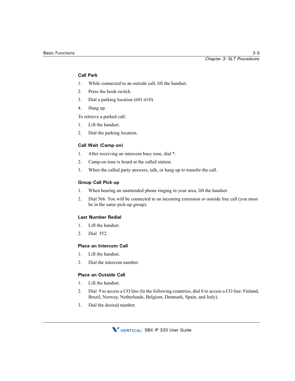#### <span id="page-76-0"></span>**Call Park**

- 1. While connected to an outside call, lift the handset.
- 2. Press the hook switch.
- 3. Dial a parking location (601-610)
- 4. Hang up.

To retrieve a parked call:

- 1. Lift the handset.
- 2. Dial the parking location.

#### <span id="page-76-1"></span>**Call Wait (Camp-on)**

- 1. After receiving an intercom busy tone, dial \*.
- 2. Camp-on tone is heard at the called station.
- 3. When the called party answers, talk, or hang up to transfer the call.

### <span id="page-76-2"></span>**Group Call Pick-up**

- 1. When hearing an unattended phone ringing in your area, lift the handset.
- 2. Dial 566. You will be connected to an incoming extension or outside line call (you must be in the same pick-up group).

### <span id="page-76-3"></span>**Last Number Redial**

- 1. Lift the handset.
- 2. Dial 552.

#### <span id="page-76-4"></span>**Place an Intercom Call**

- 1. Lift the handset.
- 2. Dial the intercom number.

### <span id="page-76-5"></span>**Place an Outside Call**

- 1. Lift the handset.
- 2. Dial 9 to access a CO line (In the following countries, dial 0 to access a CO line: Finland, Brazil, Norway, Netherlands, Belgium, Denmark, Spain, and Italy).
- 3. Dial the desired number.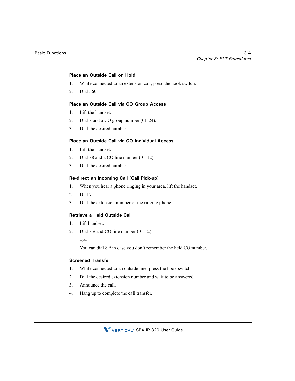#### <span id="page-77-0"></span>**Place an Outside Call on Hold**

- 1. While connected to an extension call, press the hook switch.
- 2. Dial 560.

#### <span id="page-77-1"></span>**Place an Outside Call via CO Group Access**

- 1. Lift the handset.
- 2. Dial 8 and a CO group number (01-24).
- 3. Dial the desired number.

#### <span id="page-77-2"></span>**Place an Outside Call via CO Individual Access**

- 1. Lift the handset.
- 2. Dial 88 and a CO line number (01-12).
- 3. Dial the desired number.

#### <span id="page-77-3"></span>**Re-direct an Incoming Call (Call Pick-up)**

- 1. When you hear a phone ringing in your area, lift the handset.
- 2. Dial 7.
- 3. Dial the extension number of the ringing phone.

#### <span id="page-77-4"></span>**Retrieve a Held Outside Call**

- 1. Lift handset.
- 2. Dial  $8 \#$  and CO line number (01-12).

-or-

You can dial  $8 *$  in case you don't remember the held CO number.

#### <span id="page-77-5"></span>**Screened Transfer**

- 1. While connected to an outside line, press the hook switch.
- 2. Dial the desired extension number and wait to be answered.
- 3. Announce the call.
- 4. Hang up to complete the call transfer.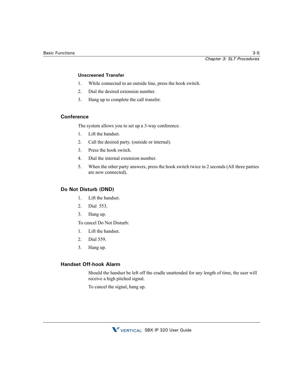#### <span id="page-78-0"></span>**Unscreened Transfer**

- 1. While connected to an outside line, press the hook switch.
- 2. Dial the desired extension number.
- 3. Hang up to complete the call transfer.

#### <span id="page-78-1"></span>**Conference**

The system allows you to set up a 3-way conference.

- 1. Lift the handset.
- 2. Call the desired party. (outside or internal).
- 3. Press the hook switch.
- 4. Dial the internal extension number.
- 5. When the other party answers, press the hook switch twice in 2 seconds (All three parties are now connected).

#### <span id="page-78-2"></span>**Do Not Disturb (DND)**

- 1. Lift the handset.
- 2. Dial 553.
- 3. Hang up.

To cancel Do Not Disturb:

- 1. Lift the handset.
- 2. Dial 559.
- 3. Hang up.

#### <span id="page-78-3"></span>**Handset Off-hook Alarm**

Should the handset be left off the cradle unattended for any length of time, the user will receive a high pitched signal.

To cancel the signal, hang up.

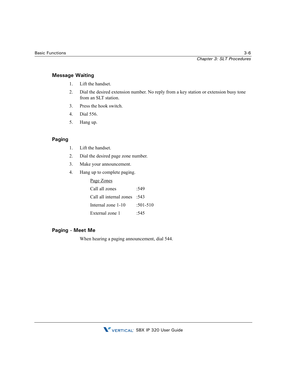## <span id="page-79-0"></span>**Message Waiting**

- 1. Lift the handset.
- 2. Dial the desired extension number. No reply from a key station or extension busy tone from an SLT station.
- 3. Press the hook switch.
- 4. Dial 556.
- 5. Hang up.

## <span id="page-79-2"></span>**Paging**

- 1. Lift the handset.
- 2. Dial the desired page zone number.
- 3. Make your announcement.
- 4. Hang up to complete paging.

| Page Zones              |              |
|-------------------------|--------------|
| Call all zones          | -549         |
| Call all internal zones | .543         |
| Internal zone 1-10      | $:501 - 510$ |
| External zone 1         | 545 ک        |

## <span id="page-79-1"></span>**Paging - Meet Me**

When hearing a paging announcement, dial 544.

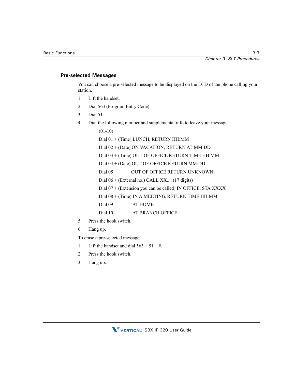#### <span id="page-80-0"></span>**Pre-selected Messages**

You can choose a pre-selected message to be displayed on the LCD of the phone calling your station.

- 1. Lift the handset.
- 2. Dial 563 (Program Entry Code)
- 3. Dial 51.
- 4. Dial the following number and supplemental info to leave your message.

(01-10) Dial 01 + (Time) LUNCH, RETURN HH:MM Dial 02 + (Date) ON VACATION, RETURN AT MM:DD Dial 03 + (Time) OUT OF OFFICE RETURN TIME HH:MM Dial 04 + (Date) OUT OF OFFICE RETURN MM:DD Dial 05 OUT OF OFFICE RETURN UNKNOWN Dial 06 + (External no.) CALL XX.... (17 digits) Dial 07 + (Extension you can be called) IN OFFICE, STA XXXX Dial 08 + (Time) IN A MEETING, RETURN TIME HH:MM Dial 09 AT HOME Dial 10 AT BRANCH OFFICE

- 5. Press the hook switch.
- 6. Hang up.

To erase a pre-selected message:

- 1. Lift the handset and dial  $563 + 51 + \text{\#}$ .
- 2. Press the hook switch.
- 3. Hang up.

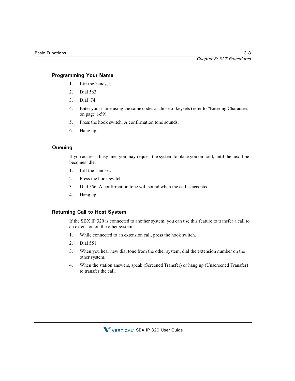### <span id="page-81-0"></span>**Programming Your Name**

- 1. Lift the handset.
- 2. Dial 563.
- 3. Dial 74.
- 4. Enter your name using the same codes as those of keysets (refer to ["Entering Characters"](#page-66-0)  [on page 1-59\)](#page-66-0).
- 5. Press the hook switch. A confirmation tone sounds.
- 6. Hang up.

### <span id="page-81-1"></span>**Queuing**

If you access a busy line, you may request the system to place you on hold, until the next line becomes idle.

- 1. Lift the handset.
- 2. Press the hook switch.
- 3. Dial 556. A confirmation tone will sound when the call is accepted.
- 4. Hang up.

### <span id="page-81-2"></span>**Returning Call to Host System**

If the SBX IP 320 is connected to another system, you can use this feature to transfer a call to an extension on the other system.

- 1. While connected to an extension call, press the hook switch.
- 2. Dial 551.
- 3. When you hear new dial tone from the other system, dial the extension number on the other system.
- 4. When the station answers, speak (Screened Transfer) or hang up (Unscreened Transfer) to transfer the call.

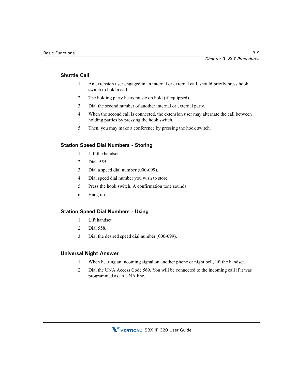## <span id="page-82-0"></span>**Shuttle Call**

- 1. An extension user engaged in an internal or external call, should briefly press hook switch to hold a call.
- 2. The holding party hears music on hold (if equipped).
- 3. Dial the second number of another internal or external party.
- 4. When the second call is connected, the extension user may alternate the call between holding parties by pressing the hook switch.
- 5. Then, you may make a conference by pressing the hook switch.

## <span id="page-82-1"></span>**Station Speed Dial Numbers - Storing**

- 1. Lift the handset.
- 2. Dial 555.
- 3. Dial a speed dial number (000-099).
- 4. Dial speed dial number you wish to store.
- 5. Press the hook switch. A confirmation tone sounds.
- 6. Hang up.

### <span id="page-82-2"></span>**Station Speed Dial Numbers - Using**

- 1. Lift handset.
- 2. Dial 558.
- 3. Dial the desired speed dial number (000-099).

### <span id="page-82-3"></span>**Universal Night Answer**

- 1. When hearing an incoming signal on another phone or night bell, lift the handset.
- 2. Dial the UNA Access Code 569. You will be connected to the incoming call if it was programmed as an UNA line.

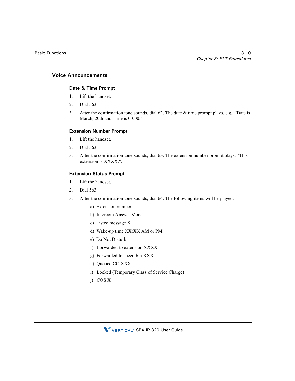### <span id="page-83-3"></span>**Voice Announcements**

#### <span id="page-83-0"></span>**Date & Time Prompt**

- 1. Lift the handset.
- 2. Dial 563.
- 3. After the confirmation tone sounds, dial 62. The date  $\&$  time prompt plays, e.g., "Date is March, 20th and Time is 00:00."

#### <span id="page-83-1"></span>**Extension Number Prompt**

- 1. Lift the handset.
- 2. Dial 563.
- 3. After the confirmation tone sounds, dial 63. The extension number prompt plays, "This extension is XXXX.".

### <span id="page-83-2"></span>**Extension Status Prompt**

- 1. Lift the handset.
- 2. Dial 563.
- 3. After the confirmation tone sounds, dial 64. The following items will be played:
	- a) Extension number
	- b) Intercom Answer Mode
	- c) Listed message X
	- d) Wake-up time XX:XX AM or PM
	- e) Do Not Disturb
	- f) Forwarded to extension XXXX
	- g) Forwarded to speed bin XXX
	- h) Queued CO XXX
	- i) Locked (Temporary Class of Service Charge)
	- j) COS X

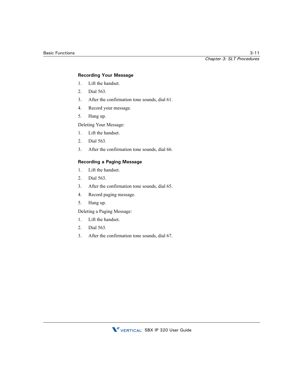#### <span id="page-84-1"></span>**Recording Your Message**

- 1. Lift the handset.
- 2. Dial 563.
- 3. After the confirmation tone sounds, dial 61.
- 4. Record your message.
- 5. Hang up.

Deleting Your Message:

- 1. Lift the handset.
- 2. Dial 563.
- 3. After the confirmation tone sounds, dial 66.

### <span id="page-84-0"></span>**Recording a Paging Message**

- 1. Lift the handset.
- 2. Dial 563.
- 3. After the confirmation tone sounds, dial 65.
- 4. Record paging message.
- 5. Hang up.

Deleting a Paging Message:

- 1. Lift the handset.
- 2. Dial 563.
- 3. After the confirmation tone sounds, dial 67.

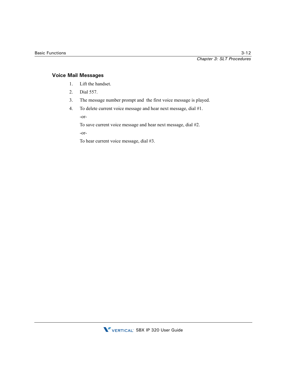### <span id="page-85-0"></span>**Voice Mail Messages**

- 1. Lift the handset.
- 2. Dial 557.
- 3. The message number prompt and the first voice message is played.
- 4. To delete current voice message and hear next message, dial #1.

-or-

To save current voice message and hear next message, dial #2.

-or-

To hear current voice message, dial #3.

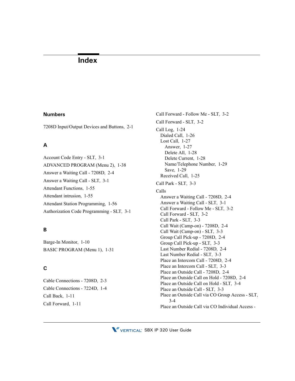# **Index**

### **Numbers**

7208D Input/Output Devices and Buttons, [2-1](#page-68-0)

## **A**

Account Code Entry - SLT, [3-1](#page-74-0) ADVANCED PROGRAM (Menu 2), [1-38](#page-45-0) Answer a Waiting Call - 7208D, [2-4](#page-71-0) Answer a Waiting Call - SLT, [3-1](#page-74-1) Attendant Functions, [1-55](#page-62-0) Attendant intrusion, [1-55](#page-62-1) Attendant Station Programming, [1-56](#page-63-0) Authorization Code Programming - SLT, [3-1](#page-74-2)

## **B**

Barge-In Monitor, [1-10](#page-17-0) BASIC PROGRAM (Menu 1), [1-31](#page-38-0)

## **C**

Cable Connections - 7208D, [2-3](#page-70-0) Cable Connections - 7224D, [1-4](#page-11-0) Call Back, [1-11](#page-18-0) Call Forward, [1-11](#page-18-1)

Call Forward - Follow Me - SLT, [3-2](#page-75-0) Call Forward - SLT, [3-2](#page-75-1) Call Log, [1-24](#page-31-0) Dialed Call, [1-26](#page-33-0) Lost Call, [1-27](#page-34-0) Answer, [1-27](#page-34-1) Delete All, [1-28](#page-35-0) Delete Current, [1-28](#page-35-1) Name/Telephone Number, [1-29](#page-36-0) Save, [1-29](#page-36-1) Received Call, [1-25](#page-32-0) Call Park - SLT, [3-3](#page-76-0) Calls Answer a Waiting Call - 7208D, [2-4](#page-71-0) Answer a Waiting Call - SLT, [3-1](#page-74-1) Call Forward - Follow Me - SLT, [3-2](#page-75-0) Call Forward - SLT, [3-2](#page-75-1) Call Park - SLT, [3-3](#page-76-0) Call Wait (Camp-on) - 7208D, [2-4](#page-71-1) Call Wait (Camp-on) - SLT, [3-3](#page-76-1) Group Call Pick-up - 7208D, [2-4](#page-71-2) Group Call Pick-up - SLT, [3-3](#page-76-2) Last Number Redial - 7208D, [2-4](#page-71-3) Last Number Redial - SLT, [3-3](#page-76-3) Place an Intercom Call - 7208D, [2-4](#page-71-4) Place an Intercom Call - SLT, [3-3](#page-76-4) Place an Outside Call - 7208D, [2-4](#page-71-5) Place an Outside Call on Hold - 7208D, [2-4](#page-71-6) Place an Outside Call on Hold - SLT, [3-4](#page-77-0) Place an Outside Call - SLT, [3-3](#page-76-5) Place an Outside Call via CO Group Access - SLT, [3-4](#page-77-1) Place an Outside Call via CO Individual Access -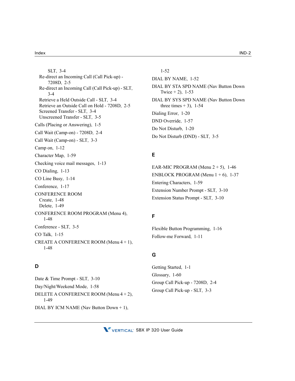SLT, [3-4](#page-77-2) Re-direct an Incoming Call (Call Pick-up) - 7208D, [2-5](#page-72-0) Re-direct an Incoming Call (Call Pick-up) - SLT, [3-4](#page-77-3) Retrieve a Held Outside Call - SLT, [3-4](#page-77-4) Retrieve an Outside Call on Hold - 7208D, [2-5](#page-72-1) Screened Transfer - SLT, [3-4](#page-77-5) Unscreened Transfer - SLT, [3-5](#page-78-0) Calls (Placing or Answering), [1-5](#page-12-0) Call Wait (Camp-on) - 7208D, [2-4](#page-71-1) Call Wait (Camp-on) - SLT, [3-3](#page-76-1) Camp on, [1-12](#page-19-0) Character Map, [1-59](#page-66-1) Checking voice mail messages, [1-13](#page-20-0) CO Dialing, [1-13](#page-20-1) CO Line Busy, [1-14](#page-21-0) Conference, [1-17](#page-24-0) CONFERENCE ROOM Create, [1-48](#page-55-0) Delete, [1-49](#page-56-0) CONFERENCE ROOM PROGRAM (Menu 4), [1-48](#page-55-1) Conference - SLT, [3-5](#page-78-1) CO Talk, [1-15](#page-22-0) CREATE A CONFERENCE ROOM (Menu 4 + 1), [1-48](#page-55-0)

## **D**

Date & Time Prompt - SLT, [3-10](#page-83-0) Day/Night/Weekend Mode, [1-58](#page-65-0) DELETE A CONFERENCE ROOM (Menu 4 + 2), [1-49](#page-56-0) DIAL BY ICM NAME (Nav Button Down + 1),

#### [1-52](#page-59-0)

DIAL BY NAME, [1-52](#page-59-1) DIAL BY STA SPD NAME (Nav Button Down Twice  $+ 2$ ), [1-53](#page-60-0) DIAL BY SYS SPD NAME (Nav Button Down three times  $+3$ ), [1-54](#page-61-0) Dialing Error, [1-20](#page-27-0) DND Override, [1-57](#page-64-0) Do Not Disturb, [1-20](#page-27-1) Do Not Disturb (DND) - SLT, [3-5](#page-78-2)

## **E**

EAR-MIC PROGRAM (Menu  $2 + 5$ ), [1-46](#page-53-0) ENBLOCK PROGRAM (Menu  $1 + 6$ ), [1-37](#page-44-0) Entering Characters, [1-59](#page-66-1) Extension Number Prompt - SLT, [3-10](#page-83-1) Extension Status Prompt - SLT, [3-10](#page-83-2)

## **F**

Flexible Button Programming, [1-16](#page-23-0) Follow-me Forward, [1-11](#page-18-2)

## **G**

Getting Started, [1-1](#page-8-0) Glossary, [1-60](#page-67-0) Group Call Pick-up - 7208D, [2-4](#page-71-2) Group Call Pick-up - SLT, [3-3](#page-76-2)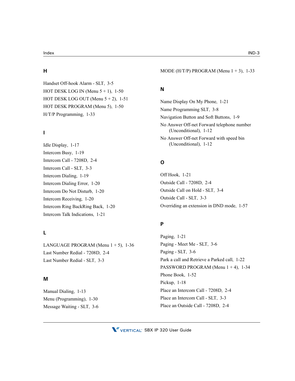## **H**

Handset Off-hook Alarm - SLT, [3-5](#page-78-3) HOT DESK LOG IN (Menu  $5 + 1$ ), [1-50](#page-57-0) HOT DESK LOG OUT (Menu  $5 + 2$ ), [1-51](#page-58-0) HOT DESK PROGRAM (Menu 5), [1-50](#page-57-1) H/T/P Programming, [1-33](#page-40-0)

## **I**

Idle Display, [1-17](#page-24-1) Intercom Busy, [1-19](#page-26-0) Intercom Call - 7208D, [2-4](#page-71-4) Intercom Call - SLT, [3-3](#page-76-4) Intercom Dialing, [1-19](#page-26-1) Intercom Dialing Error, [1-20](#page-27-0) Intercom Do Not Disturb, [1-20](#page-27-1) Intercom Receiving, [1-20](#page-27-2) Intercom Ring BackRing Back, [1-20](#page-27-3) Intercom Talk Indications, [1-21](#page-28-0)

## **L**

LANGUAGE PROGRAM (Menu  $1 + 5$ ),  $1-36$ Last Number Redial - 7208D, [2-4](#page-71-3) Last Number Redial - SLT, [3-3](#page-76-3)

### **M**

Manual Dialing, [1-13](#page-20-2) Menu (Programming), [1-30](#page-37-0) Message Waiting - SLT, [3-6](#page-79-0)

# MODE (H/T/P) PROGRAM (Menu  $1 + 3$ ), [1-33](#page-40-0)

#### **N**

Name Display On My Phone, [1-21](#page-28-1) Name Programming SLT, [3-8](#page-81-0) Navigation Button and Soft Buttons, [1-9](#page-16-0) No Answer Off-net Forward telephone number (Unconditional), [1-12](#page-19-1) No Answer Off-net Forward with speed bin (Unconditional), [1-12](#page-19-2)

## **O**

Off Hook, [1-21](#page-28-2) Outside Call - 7208D, [2-4](#page-71-5) Outside Call on Hold - SLT, [3-4](#page-77-0) Outside Call - SLT, [3-3](#page-76-5) Overriding an extension in DND mode, [1-57](#page-64-0)

## **P**

Paging, [1-21](#page-28-3) Paging - Meet Me - SLT, [3-6](#page-79-1) Paging - SLT, [3-6](#page-79-2) Park a call and Retrieve a Parked call, [1-22](#page-29-0) PASSWORD PROGRAM (Menu 1 + 4), [1-34](#page-41-0) Phone Book, [1-52](#page-59-2) Pickup, [1-18](#page-25-0) Place an Intercom Call - 7208D, [2-4](#page-71-4) Place an Intercom Call - SLT, [3-3](#page-76-4) Place an Outside Call - 7208D, [2-4](#page-71-5)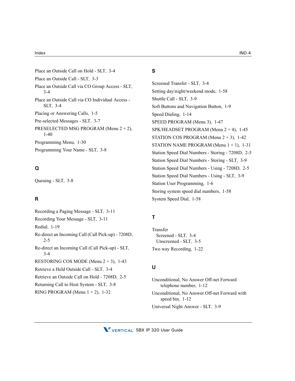Place an Outside Call on Hold - SLT, [3-4](#page-77-0) Place an Outside Call - SLT, [3-3](#page-76-5) Place an Outside Call via CO Group Access - SLT, [3-4](#page-77-1) Place an Outside Call via CO Individual Access - SLT, [3-4](#page-77-2) Placing or Answering Calls, [1-5](#page-12-0) Pre-selected Messages - SLT, [3-7](#page-80-0) PRESELECTED MSG PROGRAM (Menu 2 + 2), [1-40](#page-47-0) Programming Menu, [1-30](#page-37-0) Programming Your Name - SLT, [3-8](#page-81-0)

## **Q**

Queuing - SLT, [3-8](#page-81-1)

## **R**

Recording a Paging Message - SLT, [3-11](#page-84-0)

Recording Your Message - SLT, [3-11](#page-84-1) Redial, [1-19](#page-26-2) Re-direct an Incoming Call (Call Pick-up) - 7208D, [2-5](#page-72-0) Re-direct an Incoming Call (Call Pick-up) - SLT, [3-4](#page-77-3) RESTORING COS MODE (Menu 2 + 3), [1-43](#page-50-0) Retrieve a Held Outside Call - SLT, [3-4](#page-77-4) Retrieve an Outside Call on Hold - 7208D, [2-5](#page-72-1) Returning Call to Host System - SLT, [3-8](#page-81-2) RING PROGRAM (Menu  $1 + 2$ ), [1-32](#page-39-0)

## **S**

Screened Transfer - SLT, [3-4](#page-77-5) Setting day/night/weekend mode, [1-58](#page-65-0) Shuttle Call - SLT, [3-9](#page-82-0) Soft Buttons and Navigation Button, [1-9](#page-16-0) Speed Dialing, [1-14](#page-21-1) SPEED PROGRAM (Menu 3), [1-47](#page-54-0) SPK/HEADSET PROGRAM (Menu 2 + 4), [1-45](#page-52-0) STATION COS PROGRAM (Menu 2 + 3), [1-42](#page-49-0) STATION NAME PROGRAM (Menu 1 + 1), [1-31](#page-38-1) Station Speed Dial Numbers - Storing - 7208D, [2-5](#page-72-2) Station Speed Dial Numbers - Storing - SLT, [3-9](#page-82-1) Station Speed Dial Numbers - Using - 7208D, [2-5](#page-72-3) Station Speed Dial Numbers - Using - SLT, [3-9](#page-82-2) Station User Programming, [1-6](#page-13-0) Storing system speed dial numbers, [1-58](#page-65-1) System Speed Dial, [1-58](#page-65-1)

## **T**

Transfer Screened - SLT, [3-4](#page-77-5) Unscreened - SLT, [3-5](#page-78-0) Two way Recording, [1-22](#page-29-1)

### **U**

Unconditional, No Answer Off-net Forward telephone number, [1-12](#page-19-1) Unconditional, No Answer Off-net Forward with speed bin, [1-12](#page-19-2) Universal Night Answer - SLT, [3-9](#page-82-3)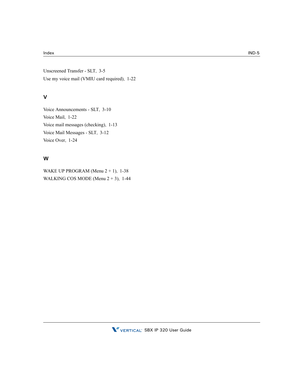Unscreened Transfer - SLT, [3-5](#page-78-0) Use my voice mail (VMIU card required), [1-22](#page-29-2)

## **V**

Voice Announcements - SLT, [3-10](#page-83-3) Voice Mail, [1-22](#page-29-2) Voice mail messages (checking), [1-13](#page-20-0) Voice Mail Messages - SLT, [3-12](#page-85-0) Voice Over, [1-24](#page-31-1)

### **W**

WAKE UP PROGRAM (Menu  $2 + 1$ ), [1-38](#page-45-1) WALKING COS MODE (Menu 2 + 3), [1-44](#page-51-0)